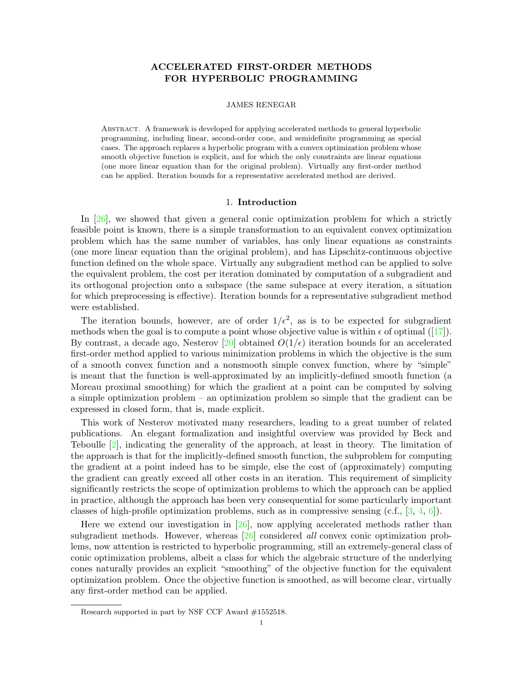# ACCELERATED FIRST-ORDER METHODS FOR HYPERBOLIC PROGRAMMING

# JAMES RENEGAR

Abstract. A framework is developed for applying accelerated methods to general hyperbolic programming, including linear, second-order cone, and semidefinite programming as special cases. The approach replaces a hyperbolic program with a convex optimization problem whose smooth objective function is explicit, and for which the only constraints are linear equations (one more linear equation than for the original problem). Virtually any first-order method can be applied. Iteration bounds for a representative accelerated method are derived.

### 1. Introduction

In [\[26\]](#page-27-0), we showed that given a general conic optimization problem for which a strictly feasible point is known, there is a simple transformation to an equivalent convex optimization problem which has the same number of variables, has only linear equations as constraints (one more linear equation than the original problem), and has Lipschitz-continuous objective function defined on the whole space. Virtually any subgradient method can be applied to solve the equivalent problem, the cost per iteration dominated by computation of a subgradient and its orthogonal projection onto a subspace (the same subspace at every iteration, a situation for which preprocessing is effective). Iteration bounds for a representative subgradient method were established.

The iteration bounds, however, are of order  $1/\epsilon^2$ , as is to be expected for subgradient methods when the goal is to compute a point whose objective value is within  $\epsilon$  of optimal ([\[17\]](#page-26-0)). By contrast, a decade ago, Nesterov [\[20\]](#page-27-1) obtained  $O(1/\epsilon)$  iteration bounds for an accelerated first-order method applied to various minimization problems in which the objective is the sum of a smooth convex function and a nonsmooth simple convex function, where by "simple" is meant that the function is well-approximated by an implicitly-defined smooth function (a Moreau proximal smoothing) for which the gradient at a point can be computed by solving a simple optimization problem – an optimization problem so simple that the gradient can be expressed in closed form, that is, made explicit.

This work of Nesterov motivated many researchers, leading to a great number of related publications. An elegant formalization and insightful overview was provided by Beck and Teboulle [\[2\]](#page-26-1), indicating the generality of the approach, at least in theory. The limitation of the approach is that for the implicitly-defined smooth function, the subproblem for computing the gradient at a point indeed has to be simple, else the cost of (approximately) computing the gradient can greatly exceed all other costs in an iteration. This requirement of simplicity significantly restricts the scope of optimization problems to which the approach can be applied in practice, although the approach has been very consequential for some particularly important classes of high-profile optimization problems, such as in compressive sensing  $(c.f., [3, 4, 6])$  $(c.f., [3, 4, 6])$  $(c.f., [3, 4, 6])$  $(c.f., [3, 4, 6])$  $(c.f., [3, 4, 6])$  $(c.f., [3, 4, 6])$  $(c.f., [3, 4, 6])$ .

Here we extend our investigation in  $[26]$ , now applying accelerated methods rather than subgradient methods. However, whereas [\[26\]](#page-27-0) considered all convex conic optimization problems, now attention is restricted to hyperbolic programming, still an extremely-general class of conic optimization problems, albeit a class for which the algebraic structure of the underlying cones naturally provides an explicit "smoothing" of the objective function for the equivalent optimization problem. Once the objective function is smoothed, as will become clear, virtually any first-order method can be applied.

Research supported in part by NSF CCF Award #1552518.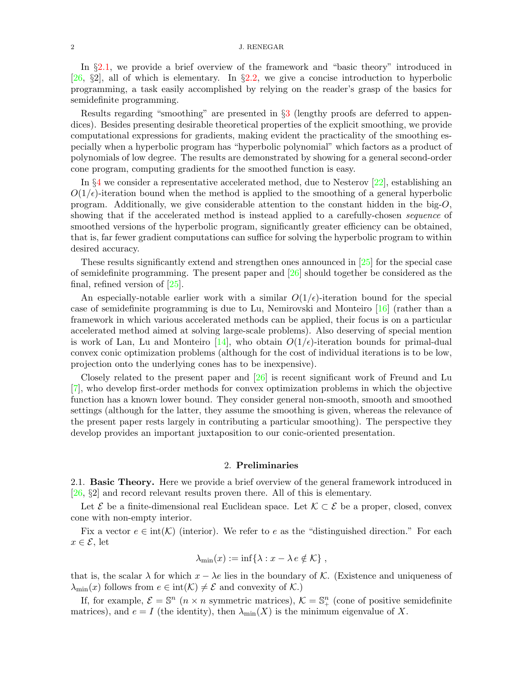In §[2.1,](#page-1-0) we provide a brief overview of the framework and "basic theory" introduced in [\[26,](#page-27-0) §2], all of which is elementary. In §[2.2,](#page-4-0) we give a concise introduction to hyperbolic programming, a task easily accomplished by relying on the reader's grasp of the basics for semidefinite programming.

Results regarding "smoothing" are presented in §[3](#page-5-0) (lengthy proofs are deferred to appendices). Besides presenting desirable theoretical properties of the explicit smoothing, we provide computational expressions for gradients, making evident the practicality of the smoothing especially when a hyperbolic program has "hyperbolic polynomial" which factors as a product of polynomials of low degree. The results are demonstrated by showing for a general second-order cone program, computing gradients for the smoothed function is easy.

In  $\S 4$  $\S 4$  we consider a representative accelerated method, due to Nesterov [\[22\]](#page-27-2), establishing an  $O(1/\epsilon)$ -iteration bound when the method is applied to the smoothing of a general hyperbolic program. Additionally, we give considerable attention to the constant hidden in the big- $O$ , showing that if the accelerated method is instead applied to a carefully-chosen *sequence* of smoothed versions of the hyperbolic program, significantly greater efficiency can be obtained, that is, far fewer gradient computations can suffice for solving the hyperbolic program to within desired accuracy.

These results significantly extend and strengthen ones announced in [\[25\]](#page-27-3) for the special case of semidefinite programming. The present paper and [\[26\]](#page-27-0) should together be considered as the final, refined version of [\[25\]](#page-27-3).

An especially-notable earlier work with a similar  $O(1/\epsilon)$ -iteration bound for the special case of semidefinite programming is due to Lu, Nemirovski and Monteiro [\[16\]](#page-26-5) (rather than a framework in which various accelerated methods can be applied, their focus is on a particular accelerated method aimed at solving large-scale problems). Also deserving of special mention is work of Lan, Lu and Monteiro [\[14\]](#page-26-6), who obtain  $O(1/\epsilon)$ -iteration bounds for primal-dual convex conic optimization problems (although for the cost of individual iterations is to be low, projection onto the underlying cones has to be inexpensive).

Closely related to the present paper and  $[26]$  is recent significant work of Freund and Lu [\[7\]](#page-26-7), who develop first-order methods for convex optimization problems in which the objective function has a known lower bound. They consider general non-smooth, smooth and smoothed settings (although for the latter, they assume the smoothing is given, whereas the relevance of the present paper rests largely in contributing a particular smoothing). The perspective they develop provides an important juxtaposition to our conic-oriented presentation.

### 2. Preliminaries

<span id="page-1-0"></span>2.1. Basic Theory. Here we provide a brief overview of the general framework introduced in [\[26,](#page-27-0) §2] and record relevant results proven there. All of this is elementary.

Let  $\mathcal E$  be a finite-dimensional real Euclidean space. Let  $\mathcal K \subset \mathcal E$  be a proper, closed, convex cone with non-empty interior.

Fix a vector  $e \in \text{int}(\mathcal{K})$  (interior). We refer to e as the "distinguished direction." For each  $x \in \mathcal{E}$ , let

$$
\lambda_{\min}(x) := \inf \{ \lambda : x - \lambda e \notin \mathcal{K} \},
$$

that is, the scalar  $\lambda$  for which  $x - \lambda e$  lies in the boundary of K. (Existence and uniqueness of  $\lambda_{\min}(x)$  follows from  $e \in \text{int}(\mathcal{K}) \neq \mathcal{E}$  and convexity of  $\mathcal{K}$ .)

If, for example,  $\mathcal{E} = \mathbb{S}^n$  ( $n \times n$  symmetric matrices),  $\mathcal{K} = \mathbb{S}^n_+$  (cone of positive semidefinite matrices), and  $e = I$  (the identity), then  $\lambda_{\min}(X)$  is the minimum eigenvalue of X.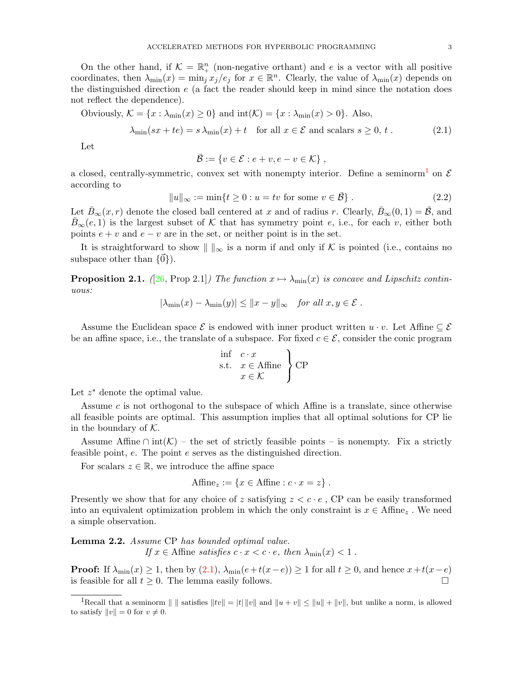On the other hand, if  $K = \mathbb{R}^n_+$  (non-negative orthant) and e is a vector with all positive coordinates, then  $\lambda_{\min}(x) = \min_j x_j / e_j$  for  $x \in \mathbb{R}^n$ . Clearly, the value of  $\lambda_{\min}(x)$  depends on the distinguished direction  $e$  (a fact the reader should keep in mind since the notation does not reflect the dependence).

Obviously, 
$$
\mathcal{K} = \{x : \lambda_{\min}(x) \ge 0\}
$$
 and  $\text{int}(\mathcal{K}) = \{x : \lambda_{\min}(x) > 0\}$ . Also,

<span id="page-2-1"></span>
$$
\lambda_{\min}(sx+te) = s\lambda_{\min}(x) + t \quad \text{for all } x \in \mathcal{E} \text{ and scalars } s \ge 0, t. \tag{2.1}
$$

Let

$$
\overline{\mathcal{B}} := \{ v \in \mathcal{E} : e + v, e - v \in \mathcal{K} \},
$$

a closed, centrally-symmetric, convex set with nonempty interior. Define a seminorm<sup>[1](#page-2-0)</sup> on  $\mathcal E$ according to

<span id="page-2-2"></span>
$$
||u||_{\infty} := \min\{t \ge 0 : u = tv \text{ for some } v \in \bar{\mathcal{B}}\}.
$$
 (2.2)

Let  $\bar{B}_{\infty}(x, r)$  denote the closed ball centered at x and of radius r. Clearly,  $\bar{B}_{\infty}(0, 1) = \bar{B}$ , and  $B_{\infty}(e, 1)$  is the largest subset of K that has symmetry point e, i.e., for each v, either both points  $e + v$  and  $e - v$  are in the set, or neither point is in the set.

It is straightforward to show  $\| \cdot \|_{\infty}$  is a norm if and only if K is pointed (i.e., contains no subspace other than  $\{\vec{0}\}\)$ .

**Proposition 2.1.** ([\[26,](#page-27-0) Prop 2.1]) The function  $x \mapsto \lambda_{\min}(x)$  is concave and Lipschitz continuous:

$$
|\lambda_{\min}(x) - \lambda_{\min}(y)| \le ||x - y||_{\infty} \quad for all x, y \in \mathcal{E}.
$$

Assume the Euclidean space  $\mathcal E$  is endowed with inner product written  $u \cdot v$ . Let Affine  $\subseteq \mathcal E$ be an affine space, i.e., the translate of a subspace. For fixed  $c \in \mathcal{E}$ , consider the conic program

$$
\begin{array}{ll}\n\text{inf} & c \cdot x \\
\text{s.t.} & x \in \text{Affine} \\
x \in \mathcal{K}\n\end{array}\n\bigg\} \text{CP}
$$

Let  $z^*$  denote the optimal value.

Assume c is not orthogonal to the subspace of which Affine is a translate, since otherwise all feasible points are optimal. This assumption implies that all optimal solutions for CP lie in the boundary of  $K$ .

Assume Affine  $\cap$  int $(\mathcal{K})$  – the set of strictly feasible points – is nonempty. Fix a strictly feasible point, e. The point e serves as the distinguished direction.

For scalars  $z \in \mathbb{R}$ , we introduce the affine space

$$
\text{Affine}_z := \{ x \in \text{Affine} : c \cdot x = z \} .
$$

Presently we show that for any choice of z satisfying  $z < c \cdot e$ , CP can be easily transformed into an equivalent optimization problem in which the only constraint is  $x \in Affine_z$ . We need a simple observation.

Lemma 2.2. Assume CP has bounded optimal value. If  $x \in$  Affine satisfies  $c \cdot x < c \cdot e$ , then  $\lambda_{\min}(x) < 1$ .

**Proof:** If  $\lambda_{\min}(x) \geq 1$ , then by  $(2.1)$ ,  $\lambda_{\min}(e+t(x-e)) \geq 1$  for all  $t \geq 0$ , and hence  $x+t(x-e)$ is feasible for all  $t \geq 0$ . The lemma easily follows.

<span id="page-2-0"></span><sup>&</sup>lt;sup>1</sup>Recall that a seminorm  $|| \cdot ||$  satisfies  $||tv|| = |t|| |v||$  and  $||u + v|| \le ||u|| + ||v||$ , but unlike a norm, is allowed to satisfy  $||v|| = 0$  for  $v \neq 0$ .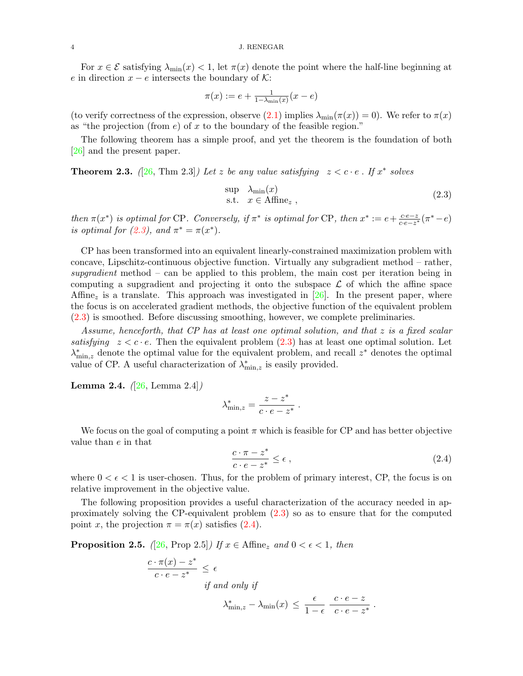For  $x \in \mathcal{E}$  satisfying  $\lambda_{\min}(x) < 1$ , let  $\pi(x)$  denote the point where the half-line beginning at e in direction  $x - e$  intersects the boundary of K:

$$
\pi(x):=e+\tfrac{1}{1-\lambda_{\min}(x)}(x-e)
$$

(to verify correctness of the expression, observe  $(2.1)$  implies  $\lambda_{\min}(\pi(x)) = 0$ ). We refer to  $\pi(x)$ as "the projection (from  $e$ ) of  $x$  to the boundary of the feasible region."

The following theorem has a simple proof, and yet the theorem is the foundation of both [\[26\]](#page-27-0) and the present paper.

**Theorem 2.3.** ([\[26,](#page-27-0) Thm 2.3]) Let z be any value satisfying  $z < c \cdot e$ . If  $x^*$  solves

<span id="page-3-0"></span>
$$
\sup_{\text{s.t.}} \lambda_{\min}(x) \n\text{s.t. } x \in \text{Affine}_z ,
$$
\n(2.3)

then  $\pi(x^*)$  is optimal for CP. Conversely, if  $\pi^*$  is optimal for CP, then  $x^* := e + \frac{ce - z}{ce - z^*}$  $\frac{c\cdot e-z}{c\cdot e-z^*}(\pi^*-e)$ is optimal for [\(2.3\)](#page-3-0), and  $\pi^* = \pi(x^*).$ 

CP has been transformed into an equivalent linearly-constrained maximization problem with concave, Lipschitz-continuous objective function. Virtually any subgradient method – rather, supgradient method – can be applied to this problem, the main cost per iteration being in computing a supgradient and projecting it onto the subspace  $\mathcal L$  of which the affine space Affine<sub>z</sub> is a translate. This approach was investigated in [\[26\]](#page-27-0). In the present paper, where the focus is on accelerated gradient methods, the objective function of the equivalent problem [\(2.3\)](#page-3-0) is smoothed. Before discussing smoothing, however, we complete preliminaries.

Assume, henceforth, that CP has at least one optimal solution, and that z is a fixed scalar satisfying  $z < c \cdot e$ . Then the equivalent problem  $(2.3)$  has at least one optimal solution. Let  $\lambda_{\min,z}^*$  denote the optimal value for the equivalent problem, and recall  $z^*$  denotes the optimal value of CP. A useful characterization of  $\lambda_{\min,z}^*$  is easily provided.

<span id="page-3-3"></span>**Lemma 2.4.**  $([26, \text{Lemma } 2.4])$  $([26, \text{Lemma } 2.4])$  $([26, \text{Lemma } 2.4])$ 

$$
\lambda_{\min,z}^* = \frac{z - z^*}{c \cdot e - z^*} \ .
$$

We focus on the goal of computing a point  $\pi$  which is feasible for CP and has better objective value than e in that

<span id="page-3-1"></span>
$$
\frac{c \cdot \pi - z^*}{c \cdot e - z^*} \le \epsilon \,,\tag{2.4}
$$

where  $0 < \epsilon < 1$  is user-chosen. Thus, for the problem of primary interest, CP, the focus is on relative improvement in the objective value.

The following proposition provides a useful characterization of the accuracy needed in approximately solving the CP-equivalent problem [\(2.3\)](#page-3-0) so as to ensure that for the computed point x, the projection  $\pi = \pi(x)$  satisfies [\(2.4\)](#page-3-1).

<span id="page-3-2"></span>**Proposition 2.5.** ([\[26,](#page-27-0) Prop 2.5]) If  $x \in \text{Affine}_z$  and  $0 \lt \epsilon \lt 1$ , then

$$
\frac{c \cdot \pi(x) - z^*}{c \cdot e - z^*} \le \epsilon
$$
\nif and only if

\n
$$
\lambda^*_{\min, z} - \lambda_{\min}(x) \le \frac{\epsilon}{1 - \epsilon} \frac{c \cdot e - z}{c \cdot e - z^*}.
$$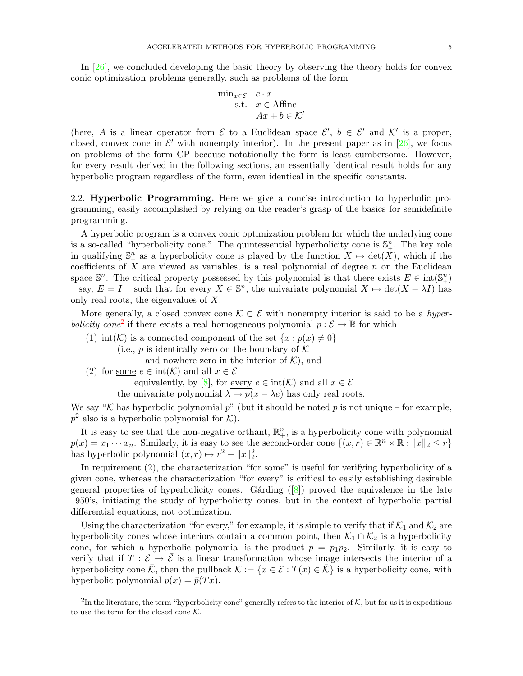In [\[26\]](#page-27-0), we concluded developing the basic theory by observing the theory holds for convex conic optimization problems generally, such as problems of the form

$$
\begin{array}{ll}\n\min_{x \in \mathcal{E}} & c \cdot x \\
\text{s.t.} & x \in \text{Affine} \\
 & Ax + b \in \mathcal{K}'\n\end{array}
$$

(here, A is a linear operator from  $\mathcal E$  to a Euclidean space  $\mathcal E', b \in \mathcal E'$  and  $\mathcal K'$  is a proper, closed, convex cone in  $\mathcal{E}'$  with nonempty interior). In the present paper as in [\[26\]](#page-27-0), we focus on problems of the form CP because notationally the form is least cumbersome. However, for every result derived in the following sections, an essentially identical result holds for any hyperbolic program regardless of the form, even identical in the specific constants.

<span id="page-4-0"></span>2.2. Hyperbolic Programming. Here we give a concise introduction to hyperbolic programming, easily accomplished by relying on the reader's grasp of the basics for semidefinite programming.

A hyperbolic program is a convex conic optimization problem for which the underlying cone is a so-called "hyperbolicity cone." The quintessential hyperbolicity cone is  $\mathbb{S}^n_+$ . The key role in qualifying  $\mathbb{S}^n_+$  as a hyperbolicity cone is played by the function  $X \mapsto \det(X)$ , which if the coefficients of X are viewed as variables, is a real polynomial of degree  $n$  on the Euclidean space  $\mathbb{S}^n$ . The critical property possessed by this polynomial is that there exists  $E \in \text{int}(\mathbb{S}^n_+)$  $-$  say,  $E = I$  – such that for every  $X \in \mathbb{S}^n$ , the univariate polynomial  $X \mapsto \det(X - \lambda I)$  has only real roots, the eigenvalues of X.

More generally, a closed convex cone  $\mathcal{K} \subset \mathcal{E}$  with nonempty interior is said to be a hyper-bolicity cone<sup>[2](#page-4-1)</sup> if there exists a real homogeneous polynomial  $p : \mathcal{E} \to \mathbb{R}$  for which

(1) int(K) is a connected component of the set  $\{x : p(x) \neq 0\}$ 

(i.e., p is identically zero on the boundary of  $K$ 

and nowhere zero in the interior of  $K$ ), and

(2) for some  $e \in \text{int}(\mathcal{K})$  and all  $x \in \mathcal{E}$ 

– equivalently, by [\[8\]](#page-26-8), for every  $e \in \text{int}(\mathcal{K})$  and all  $x \in \mathcal{E}$  –

the univariate polynomial  $\lambda \mapsto p(x - \lambda e)$  has only real roots.

We say "K has hyperbolic polynomial  $p$ " (but it should be noted p is not unique – for example,  $p^2$  also is a hyperbolic polynomial for  $\mathcal{K}$ ).

It is easy to see that the non-negative orthant,  $\mathbb{R}^n_+$ , is a hyperbolicity cone with polynomial  $p(x) = x_1 \cdots x_n$ . Similarly, it is easy to see the second-order cone  $\{(x, r) \in \mathbb{R}^n \times \mathbb{R} : ||x||_2 \le r\}$ has hyperbolic polynomial  $(x, r) \mapsto r^2 - ||x||_2^2$ .

In requirement (2), the characterization "for some" is useful for verifying hyperbolicity of a given cone, whereas the characterization "for every" is critical to easily establishing desirable general properties of hyperbolicity cones. Gårding  $(S<sub>1</sub>)$  proved the equivalence in the late 1950's, initiating the study of hyperbolicity cones, but in the context of hyperbolic partial differential equations, not optimization.

Using the characterization "for every," for example, it is simple to verify that if  $\mathcal{K}_1$  and  $\mathcal{K}_2$  are hyperbolicity cones whose interiors contain a common point, then  $\mathcal{K}_1 \cap \mathcal{K}_2$  is a hyperbolicity cone, for which a hyperbolic polynomial is the product  $p = p_1p_2$ . Similarly, it is easy to verify that if  $T : \mathcal{E} \to \overline{\mathcal{E}}$  is a linear transformation whose image intersects the interior of a hyperbolicity cone  $\overline{\mathcal{K}}$ , then the pullback  $\mathcal{K} := \{x \in \mathcal{E} : T(x) \in \overline{\mathcal{K}}\}$  is a hyperbolicity cone, with hyperbolic polynomial  $p(x) = \bar{p}(Tx)$ .

<span id="page-4-1"></span><sup>&</sup>lt;sup>2</sup>In the literature, the term "hyperbolicity cone" generally refers to the interior of K, but for us it is expeditious to use the term for the closed cone  $K$ .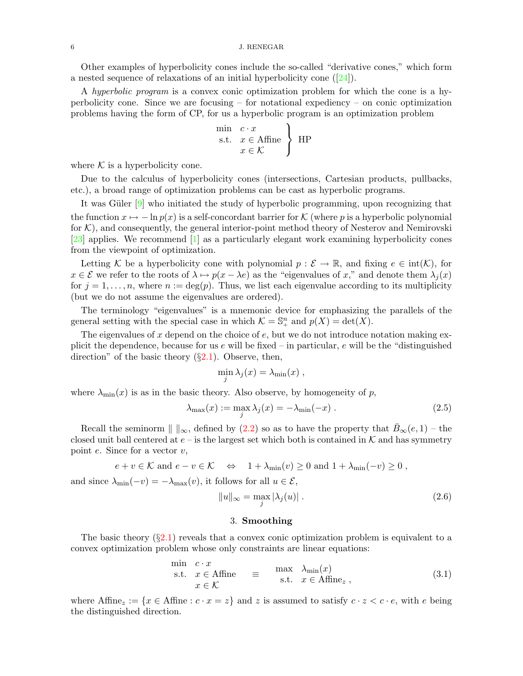Other examples of hyperbolicity cones include the so-called "derivative cones," which form a nested sequence of relaxations of an initial hyperbolicity cone  $([24])$  $([24])$  $([24])$ .

A hyperbolic program is a convex conic optimization problem for which the cone is a hyperbolicity cone. Since we are focusing – for notational expediency – on conic optimization problems having the form of CP, for us a hyperbolic program is an optimization problem

$$
\begin{array}{ll}\n\min & c \cdot x \\
\text{s.t.} & x \in \text{Affine} \\
x \in \mathcal{K}\n\end{array}\n\bigg\} \text{ HP}
$$

where  $K$  is a hyperbolicity cone.

Due to the calculus of hyperbolicity cones (intersections, Cartesian products, pullbacks, etc.), a broad range of optimization problems can be cast as hyperbolic programs.

It was Güler  $[9]$  who initiated the study of hyperbolic programming, upon recognizing that the function  $x \mapsto -\ln p(x)$  is a self-concordant barrier for K (where p is a hyperbolic polynomial for  $K$ ), and consequently, the general interior-point method theory of Nesterov and Nemirovski [\[23\]](#page-27-5) applies. We recommend [\[1\]](#page-26-10) as a particularly elegant work examining hyperbolicity cones from the viewpoint of optimization.

Letting K be a hyperbolicity cone with polynomial  $p : \mathcal{E} \to \mathbb{R}$ , and fixing  $e \in \text{int}(\mathcal{K})$ , for  $x \in \mathcal{E}$  we refer to the roots of  $\lambda \mapsto p(x - \lambda e)$  as the "eigenvalues of x," and denote them  $\lambda_i(x)$ for  $j = 1, \ldots, n$ , where  $n := \deg(p)$ . Thus, we list each eigenvalue according to its multiplicity (but we do not assume the eigenvalues are ordered).

The terminology "eigenvalues" is a mnemonic device for emphasizing the parallels of the general setting with the special case in which  $\mathcal{K} = \mathbb{S}^n_+$  and  $p(X) = \det(X)$ .

The eigenvalues of x depend on the choice of  $e$ , but we do not introduce notation making explicit the dependence, because for us  $e$  will be fixed – in particular,  $e$  will be the "distinguished" direction" of the basic theory  $(\S 2.1)$  $(\S 2.1)$ . Observe, then,

$$
\min_j \lambda_j(x) = \lambda_{\min}(x) ,
$$

where  $\lambda_{\min}(x)$  is as in the basic theory. Also observe, by homogeneity of p,

<span id="page-5-2"></span>
$$
\lambda_{\max}(x) := \max_{j} \lambda_j(x) = -\lambda_{\min}(-x) . \tag{2.5}
$$

Recall the seminorm  $\| \cdot \|_{\infty}$ , defined by [\(2.2\)](#page-2-2) so as to have the property that  $\overline{B}_{\infty}(e, 1)$  – the closed unit ball centered at  $e$  – is the largest set which both is contained in K and has symmetry point  $e$ . Since for a vector  $v$ ,

$$
e + v \in \mathcal{K}
$$
 and  $e - v \in \mathcal{K}$   $\Leftrightarrow$   $1 + \lambda_{\min}(v) \ge 0$  and  $1 + \lambda_{\min}(-v) \ge 0$ ,

and since  $\lambda_{\min}(-v) = -\lambda_{\max}(v)$ , it follows for all  $u \in \mathcal{E}$ ,

$$
||u||_{\infty} = \max_{j} |\lambda_j(u)|.
$$
 (2.6)

# 3. Smoothing

<span id="page-5-0"></span>The basic theory  $(\S_2.1)$  $(\S_2.1)$  reveals that a convex conic optimization problem is equivalent to a convex optimization problem whose only constraints are linear equations:

<span id="page-5-1"></span>
$$
\min_{\begin{array}{rcl}\n\text{min} & c \cdot x \\
\text{s.t.} & x \in \text{Affine} \\
& x \in \mathcal{K}\n\end{array}} \equiv \max_{\begin{array}{rcl}\n\text{max} & \lambda_{\min}(x) \\
\text{s.t.} & x \in \text{Affine}_z\n\end{array}} (3.1)
$$

where Affine<sub>z</sub> := { $x \in$  Affine :  $c \cdot x = z$ } and z is assumed to satisfy  $c \cdot z < c \cdot e$ , with e being the distinguished direction.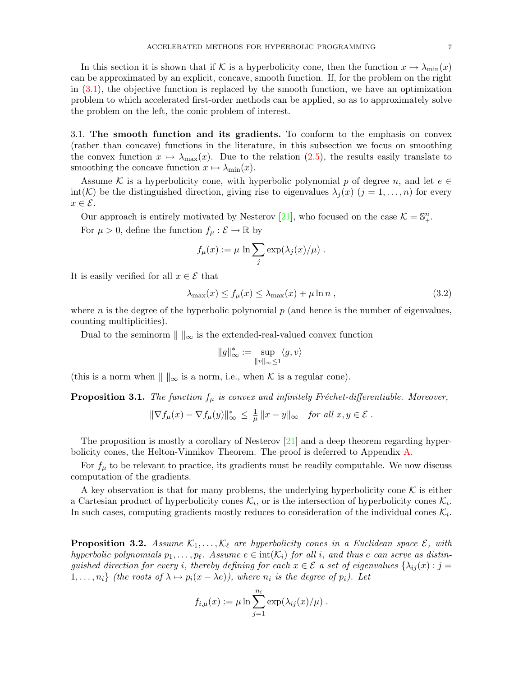In this section it is shown that if K is a hyperbolicity cone, then the function  $x \mapsto \lambda_{\min}(x)$ can be approximated by an explicit, concave, smooth function. If, for the problem on the right in  $(3.1)$ , the objective function is replaced by the smooth function, we have an optimization problem to which accelerated first-order methods can be applied, so as to approximately solve the problem on the left, the conic problem of interest.

3.1. The smooth function and its gradients. To conform to the emphasis on convex (rather than concave) functions in the literature, in this subsection we focus on smoothing the convex function  $x \mapsto \lambda_{\max}(x)$ . Due to the relation [\(2.5\)](#page-5-2), the results easily translate to smoothing the concave function  $x \mapsto \lambda_{\min}(x)$ .

Assume K is a hyperbolicity cone, with hyperbolic polynomial p of degree n, and let  $e \in$ int(K) be the distinguished direction, giving rise to eigenvalues  $\lambda_j(x)$   $(j = 1, \ldots, n)$  for every  $x \in \mathcal{E}$ .

Our approach is entirely motivated by Nesterov [\[21\]](#page-27-6), who focused on the case  $K = \mathbb{S}^n_+$ . For  $\mu > 0$ , define the function  $f_{\mu} : \mathcal{E} \to \mathbb{R}$  by

$$
f_{\mu}(x) := \mu \ln \sum_{j} \exp(\lambda_j(x)/\mu) .
$$

It is easily verified for all  $x \in \mathcal{E}$  that

$$
\lambda_{\max}(x) \le f_{\mu}(x) \le \lambda_{\max}(x) + \mu \ln n , \qquad (3.2)
$$

where n is the degree of the hyperbolic polynomial  $p$  (and hence is the number of eigenvalues, counting multiplicities).

Dual to the seminorm  $\| \cdot \|_{\infty}$  is the extended-real-valued convex function

$$
\|g\|_{\infty}^*:=\sup_{\|v\|_{\infty}\leq 1}\langle g,v\rangle
$$

(this is a norm when  $\| \cdot \|_{\infty}$  is a norm, i.e., when K is a regular cone).

<span id="page-6-0"></span>**Proposition 3.1.** The function  $f_{\mu}$  is convex and infinitely Fréchet-differentiable. Moreover,

$$
\|\nabla f_{\mu}(x) - \nabla f_{\mu}(y)\|_{\infty}^{*} \leq \frac{1}{\mu} \|x - y\|_{\infty} \quad \text{for all } x, y \in \mathcal{E}.
$$

The proposition is mostly a corollary of Nesterov [\[21\]](#page-27-6) and a deep theorem regarding hyperbolicity cones, the Helton-Vinnikov Theorem. The proof is deferred to Appendix [A.](#page-17-0)

For  $f_{\mu}$  to be relevant to practice, its gradients must be readily computable. We now discuss computation of the gradients.

A key observation is that for many problems, the underlying hyperbolicity cone  $\mathcal K$  is either a Cartesian product of hyperbolicity cones  $\mathcal{K}_i$ , or is the intersection of hyperbolicity cones  $\mathcal{K}_i$ . In such cases, computing gradients mostly reduces to consideration of the individual cones  $\mathcal{K}_i$ .

<span id="page-6-1"></span>**Proposition 3.2.** Assume  $\mathcal{K}_1, \ldots, \mathcal{K}_\ell$  are hyperbolicity cones in a Euclidean space  $\mathcal{E}$ , with hyperbolic polynomials  $p_1, \ldots, p_\ell$ . Assume  $e \in \text{int}(\mathcal{K}_i)$  for all i, and thus e can serve as distinguished direction for every i, thereby defining for each  $x \in \mathcal{E}$  a set of eigenvalues  $\{\lambda_{ij}(x) : j =$  $1, \ldots, n_i$  (the roots of  $\lambda \mapsto p_i(x - \lambda e)$ ), where  $n_i$  is the degree of  $p_i$ ). Let

$$
f_{i,\mu}(x) := \mu \ln \sum_{j=1}^{n_i} \exp(\lambda_{ij}(x)/\mu) .
$$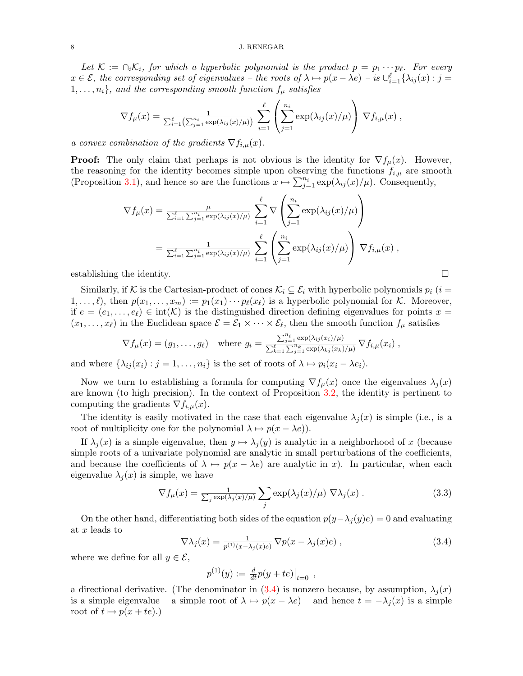Let  $\mathcal{K} := \bigcap_i \mathcal{K}_i$ , for which a hyperbolic polynomial is the product  $p = p_1 \cdots p_\ell$ . For every  $x \in \mathcal{E}$ , the corresponding set of eigenvalues – the roots of  $\lambda \mapsto p(x - \lambda e) - is \cup_{i=1}^{\ell} {\lambda_{ij}(x) : j =$  $1, \ldots, n_i$ , and the corresponding smooth function  $f_\mu$  satisfies

$$
\nabla f_{\mu}(x) = \frac{1}{\sum_{i=1}^{\ell} \left(\sum_{j=1}^{n_i} \exp(\lambda_{ij}(x)/\mu)\right)} \sum_{i=1}^{\ell} \left(\sum_{j=1}^{n_i} \exp(\lambda_{ij}(x)/\mu)\right) \nabla f_{i,\mu}(x) ,
$$

a convex combination of the gradients  $\nabla f_{i,\mu}(x)$ .

**Proof:** The only claim that perhaps is not obvious is the identity for  $\nabla f_{\mu}(x)$ . However, the reasoning for the identity becomes simple upon observing the functions  $f_{i,\mu}$  are smooth (Proposition [3.1\)](#page-6-0), and hence so are the functions  $x \mapsto \sum_{j=1}^{n_i} \exp(\lambda_{ij}(x)/\mu)$ . Consequently,

$$
\nabla f_{\mu}(x) = \frac{\mu}{\sum_{i=1}^{\ell} \sum_{j=1}^{n_i} \exp(\lambda_{ij}(x)/\mu)} \sum_{i=1}^{\ell} \nabla \left( \sum_{j=1}^{n_i} \exp(\lambda_{ij}(x)/\mu) \right)
$$
  
= 
$$
\frac{1}{\sum_{i=1}^{\ell} \sum_{j=1}^{n_i} \exp(\lambda_{ij}(x)/\mu)} \sum_{i=1}^{\ell} \left( \sum_{j=1}^{n_i} \exp(\lambda_{ij}(x)/\mu) \right) \nabla f_{i,\mu}(x),
$$

establishing the identity.

Similarly, if K is the Cartesian-product of cones  $\mathcal{K}_i \subseteq \mathcal{E}_i$  with hyperbolic polynomials  $p_i$  (i =  $1, \ldots, \ell$ , then  $p(x_1, \ldots, x_m) := p_1(x_1) \cdots p_\ell(x_\ell)$  is a hyperbolic polynomial for K. Moreover, if  $e = (e_1, \ldots, e_\ell) \in \text{int}(\mathcal{K})$  is the distinguished direction defining eigenvalues for points  $x =$  $(x_1, \ldots, x_\ell)$  in the Euclidean space  $\mathcal{E} = \mathcal{E}_1 \times \cdots \times \mathcal{E}_\ell$ , then the smooth function  $f_\mu$  satisfies

$$
\nabla f_{\mu}(x) = (g_1, ..., g_{\ell})
$$
 where  $g_i = \frac{\sum_{j=1}^{n_i} \exp(\lambda_{ij}(x_i)/\mu)}{\sum_{k=1}^{\ell} \sum_{j=1}^{n_k} \exp(\lambda_{kj}(x_k)/\mu)} \nabla f_{i,\mu}(x_i)$ ,

and where  $\{\lambda_{ij}(x_i) : j = 1, \ldots, n_i\}$  is the set of roots of  $\lambda \mapsto p_i(x_i - \lambda e_i)$ .

Now we turn to establishing a formula for computing  $\nabla f_\mu(x)$  once the eigenvalues  $\lambda_i(x)$ are known (to high precision). In the context of Proposition [3.2,](#page-6-1) the identity is pertinent to computing the gradients  $\nabla f_{i,\mu}(x)$ .

The identity is easily motivated in the case that each eigenvalue  $\lambda_i(x)$  is simple (i.e., is a root of multiplicity one for the polynomial  $\lambda \mapsto p(x - \lambda e)$ .

If  $\lambda_i(x)$  is a simple eigenvalue, then  $y \mapsto \lambda_i(y)$  is analytic in a neighborhood of x (because simple roots of a univariate polynomial are analytic in small perturbations of the coefficients, and because the coefficients of  $\lambda \mapsto p(x - \lambda e)$  are analytic in x). In particular, when each eigenvalue  $\lambda_i(x)$  is simple, we have

<span id="page-7-1"></span>
$$
\nabla f_{\mu}(x) = \frac{1}{\sum_{j} \exp(\lambda_j(x)/\mu)} \sum_{j} \exp(\lambda_j(x)/\mu) \nabla \lambda_j(x) . \qquad (3.3)
$$

On the other hand, differentiating both sides of the equation  $p(y-\lambda_j(y)e) = 0$  and evaluating at  $x$  leads to

<span id="page-7-0"></span>
$$
\nabla \lambda_j(x) = \frac{1}{p^{(1)}(x - \lambda_j(x)e)} \nabla p(x - \lambda_j(x)e) , \qquad (3.4)
$$

where we define for all  $y \in \mathcal{E}$ ,

$$
p^{(1)}(y) := \frac{d}{dt}p(y + te)|_{t=0} ,
$$

a directional derivative. (The denominator in [\(3.4\)](#page-7-0) is nonzero because, by assumption,  $\lambda_i(x)$ is a simple eigenvalue – a simple root of  $\lambda \mapsto p(x - \lambda e)$  – and hence  $t = -\lambda_i(x)$  is a simple root of  $t \mapsto p(x + te)$ .)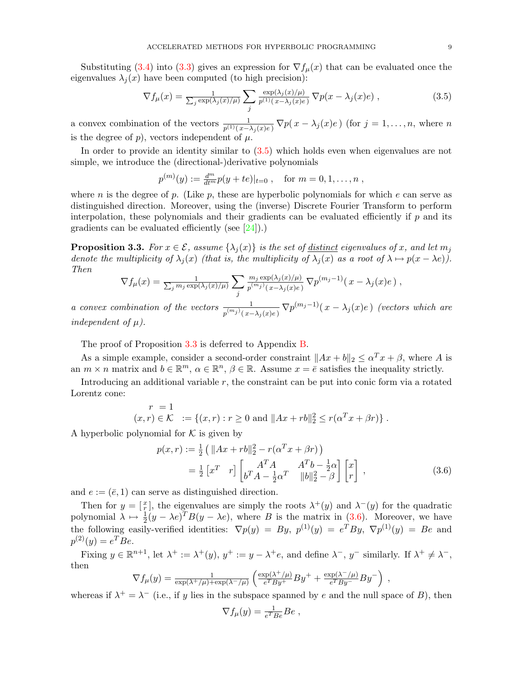Substituting [\(3.4\)](#page-7-0) into [\(3.3\)](#page-7-1) gives an expression for  $\nabla f_\mu(x)$  that can be evaluated once the eigenvalues  $\lambda_j(x)$  have been computed (to high precision):

<span id="page-8-0"></span>
$$
\nabla f_{\mu}(x) = \frac{1}{\sum_{j} \exp(\lambda_j(x)/\mu)} \sum_{j} \frac{\exp(\lambda_j(x)/\mu)}{p^{(1)}(x-\lambda_j(x)e)} \nabla p(x-\lambda_j(x)e) , \qquad (3.5)
$$

a convex combination of the vectors  $\frac{1}{p^{(1)}(x-\lambda_j(x)e)} \nabla p(x-\lambda_j(x)e)$  (for  $j=1,\ldots,n$ , where n is the degree of  $p$ ), vectors independent of  $\mu$ .

In order to provide an identity similar to [\(3.5\)](#page-8-0) which holds even when eigenvalues are not simple, we introduce the (directional-)derivative polynomials

$$
p^{(m)}(y) := \frac{d^m}{dt^m} p(y + te)|_{t=0}
$$
, for  $m = 0, 1, ..., n$ ,

where n is the degree of p. (Like p, these are hyperbolic polynomials for which  $e$  can serve as distinguished direction. Moreover, using the (inverse) Discrete Fourier Transform to perform interpolation, these polynomials and their gradients can be evaluated efficiently if  $p$  and its gradients can be evaluated efficiently (see  $[24]$ ).)

<span id="page-8-1"></span>**Proposition 3.3.** For  $x \in \mathcal{E}$ , assume  $\{\lambda_i(x)\}\$ is the set of distinct eigenvalues of x, and let  $m_i$ denote the multiplicity of  $\lambda_i(x)$  (that is, the multiplicity of  $\lambda_i(x)$  as a root of  $\lambda \mapsto p(x - \lambda e)$ ). Then

$$
\nabla f_{\mu}(x) = \frac{1}{\sum_j m_j \exp(\lambda_j(x)/\mu)} \sum_j \frac{m_j \exp(\lambda_j(x)/\mu)}{p^{(m_j)}(x-\lambda_j(x)e)} \nabla p^{(m_j-1)}(x-\lambda_j(x)e) ,
$$

a convex combination of the vectors  $\frac{1}{p^{(m_j)}(x-\lambda_j(x)e)} \nabla p^{(m_j-1)}(x-\lambda_j(x)e)$  (vectors which are independent of  $\mu$ ).

The proof of Proposition [3.3](#page-8-1) is deferred to Appendix [B.](#page-20-0)

As a simple example, consider a second-order constraint  $||Ax + b||_2 \le \alpha^T x + \beta$ , where A is an  $m \times n$  matrix and  $b \in \mathbb{R}^m$ ,  $\alpha \in \mathbb{R}^n$ ,  $\beta \in \mathbb{R}$ . Assume  $x = \overline{e}$  satisfies the inequality strictly.

Introducing an additional variable  $r$ , the constraint can be put into conic form via a rotated Lorentz cone:

$$
r = 1
$$
  
 $(x, r) \in K$  := { $(x, r) : r \ge 0$  and  $||Ax + rb||_2^2 \le r(\alpha^T x + \beta r)$  }.

A hyperbolic polynomial for  $K$  is given by

$$
p(x,r) := \frac{1}{2} \left( \|Ax + rb\|_2^2 - r(\alpha^T x + \beta r) \right)
$$
  
= 
$$
\frac{1}{2} \left[ x^T \ r \right] \begin{bmatrix} A^T A & A^T b - \frac{1}{2} \alpha \\ b^T A - \frac{1}{2} \alpha^T & \|b\|_2^2 - \beta \end{bmatrix} \begin{bmatrix} x \\ r \end{bmatrix} ,
$$
 (3.6)

and  $e := (\bar{e}, 1)$  can serve as distinguished direction.

Then for  $y = \begin{bmatrix} x \\ r \end{bmatrix}$ , the eigenvalues are simply the roots  $\lambda^+(y)$  and  $\lambda^-(y)$  for the quadratic polynomial  $\lambda \mapsto \frac{1}{2}(y - \lambda e)^T B(y - \lambda e)$ , where B is the matrix in [\(3.6\)](#page-8-2). Moreover, we have the following easily-verified identities:  $\nabla p(y) = By$ ,  $p^{(1)}(y) = e^{T}By$ ,  $\nabla p^{(1)}(y) = Be$  and  $p^{(2)}(y) = e^T B e.$ 

Fixing  $y \in \mathbb{R}^{n+1}$ , let  $\lambda^+ := \lambda^+(y)$ ,  $y^+ := y - \lambda^+ e$ , and define  $\lambda^-, y^-$  similarly. If  $\lambda^+ \neq \lambda^-,$ then

$$
\nabla f_{\mu}(y) = \frac{1}{\exp(\lambda^{+}/\mu) + \exp(\lambda^{-}/\mu)} \left( \frac{\exp(\lambda^{+}/\mu)}{e^{T}By^{+}} By^{+} + \frac{\exp(\lambda^{-}/\mu)}{e^{T}By^{-}} By^{-} \right) ,
$$

whereas if  $\lambda^+ = \lambda^-$  (i.e., if y lies in the subspace spanned by e and the null space of B), then

<span id="page-8-2"></span>
$$
\nabla f_{\mu}(y) = \frac{1}{e^T B e} B e ,
$$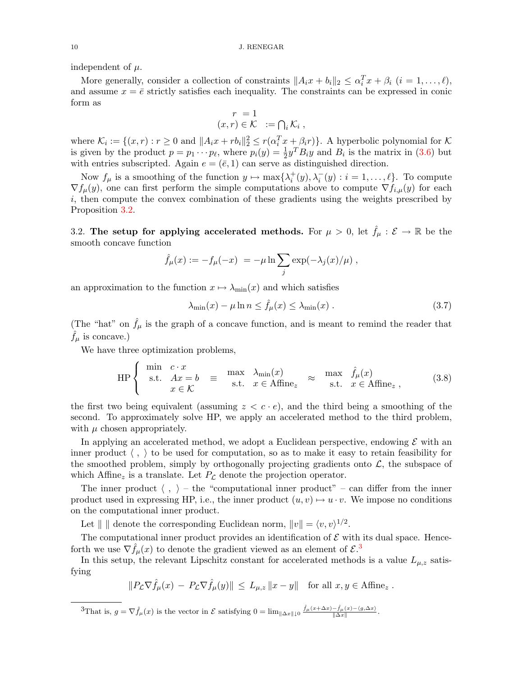independent of  $\mu$ .

More generally, consider a collection of constraints  $||A_ix + b_i||_2 \leq \alpha_i^T x + \beta_i$   $(i = 1, ..., \ell)$ , and assume  $x = \bar{e}$  strictly satisfies each inequality. The constraints can be expressed in conic form as

$$
r = 1
$$
  

$$
(x, r) \in \mathcal{K} \ := \bigcap_i \mathcal{K}_i \ ,
$$

where  $\mathcal{K}_i := \{(x,r) : r \geq 0 \text{ and } ||A_i x + rb_i||_2^2 \leq r(\alpha_i^T x + \beta_i r)\}\.$  A hyperbolic polynomial for  $\mathcal{K}$ is given by the product  $p = p_1 \cdots p_\ell$ , where  $p_i(y) = \frac{1}{2} y^T B_i y$  and  $B_i$  is the matrix in [\(3.6\)](#page-8-2) but with entries subscripted. Again  $e = (\bar{e}, 1)$  can serve as distinguished direction.

Now  $f_{\mu}$  is a smoothing of the function  $y \mapsto \max\{\lambda_i^+(y), \lambda_i^-(y) : i = 1, \ldots, \ell\}$ . To compute  $\nabla f_{\mu}(y)$ , one can first perform the simple computations above to compute  $\nabla f_{i,\mu}(y)$  for each i, then compute the convex combination of these gradients using the weights prescribed by Proposition [3.2.](#page-6-1)

3.2. The setup for applying accelerated methods. For  $\mu > 0$ , let  $f_{\mu} : \mathcal{E} \to \mathbb{R}$  be the smooth concave function

$$
\hat{f}_{\mu}(x) := -f_{\mu}(-x) = -\mu \ln \sum_{j} \exp(-\lambda_j(x)/\mu) ,
$$

an approximation to the function  $x \mapsto \lambda_{\min}(x)$  and which satisfies

<span id="page-9-2"></span>
$$
\lambda_{\min}(x) - \mu \ln n \le \hat{f}_{\mu}(x) \le \lambda_{\min}(x) . \tag{3.7}
$$

(The "hat" on  $\hat{f}_{\mu}$  is the graph of a concave function, and is meant to remind the reader that  $f_{\mu}$  is concave.)

We have three optimization problems,

<span id="page-9-1"></span>
$$
\text{HP} \begin{cases} \min \ c \cdot x \\ \text{s.t.} \quad Ax = b \\ x \in \mathcal{K} \end{cases} \equiv \max \begin{cases} \lambda_{\min}(x) \\ \text{s.t.} \quad x \in \text{Affine}_z \end{cases} \approx \max \begin{cases} \hat{f}_{\mu}(x) \\ \text{s.t.} \quad x \in \text{Affine}_z \end{cases}, \tag{3.8}
$$

the first two being equivalent (assuming  $z < c \cdot e$ ), and the third being a smoothing of the second. To approximately solve HP, we apply an accelerated method to the third problem, with  $\mu$  chosen appropriately.

In applying an accelerated method, we adopt a Euclidean perspective, endowing  $\mathcal E$  with an inner product  $\langle , \rangle$  to be used for computation, so as to make it easy to retain feasibility for the smoothed problem, simply by orthogonally projecting gradients onto  $\mathcal{L}$ , the subspace of which Affine<sub>z</sub> is a translate. Let  $P_{\mathcal{L}}$  denote the projection operator.

The inner product  $\langle , \rangle$  – the "computational inner product" – can differ from the inner product used in expressing HP, i.e., the inner product  $(u, v) \mapsto u \cdot v$ . We impose no conditions on the computational inner product.

Let  $\| \dots \|$  denote the corresponding Euclidean norm,  $\|v\| = \langle v, v \rangle^{1/2}$ .

The computational inner product provides an identification of  $\mathcal E$  with its dual space. Henceforth we use  $\nabla \hat{f}_{\mu}(x)$  to denote the gradient viewed as an element of  $\mathcal{E}^{.3}$  $\mathcal{E}^{.3}$  $\mathcal{E}^{.3}$ 

In this setup, the relevant Lipschitz constant for accelerated methods is a value  $L_{\mu,z}$  satisfying

 $||P_{\mathcal{L}}\nabla \hat{f}_{\mu}(x) - P_{\mathcal{L}}\nabla \hat{f}_{\mu}(y)|| \leq L_{\mu,z} ||x - y||$  for all  $x, y \in \text{Affine}_z$ .

<span id="page-9-0"></span><sup>3</sup>That is,  $g = \nabla \hat{f}_{\mu}(x)$  is the vector in  $\mathcal{E}$  satisfying  $0 = \lim_{\|\Delta x\| \to 0} \frac{\hat{f}_{\mu}(x + \Delta x) - \hat{f}_{\mu}(x) - \langle g, \Delta x \rangle}{\|\Delta x\|}$ .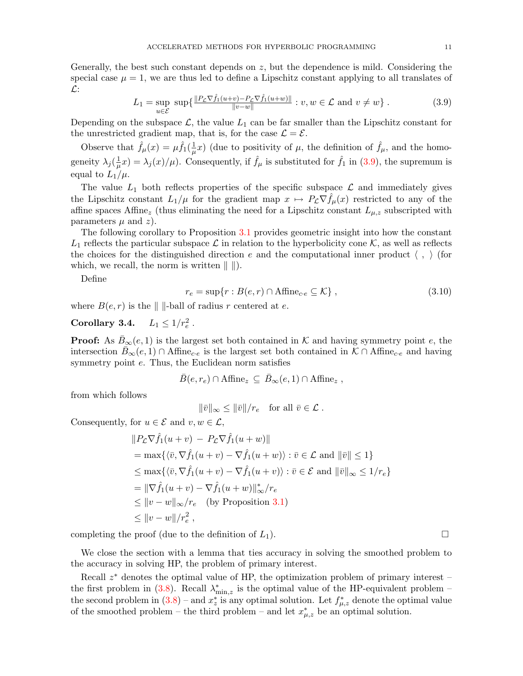Generally, the best such constant depends on  $z$ , but the dependence is mild. Considering the special case  $\mu = 1$ , we are thus led to define a Lipschitz constant applying to all translates of  $\mathcal{L}$ :

<span id="page-10-0"></span>
$$
L_1 = \sup_{u \in \mathcal{E}} \sup \left\{ \frac{\|P_{\mathcal{L}} \nabla \hat{f}_1(u+v) - P_{\mathcal{L}} \nabla \hat{f}_1(u+w)\|}{\|v-w\|} : v, w \in \mathcal{L} \text{ and } v \neq w \right\}. \tag{3.9}
$$

Depending on the subspace  $\mathcal{L}$ , the value  $L_1$  can be far smaller than the Lipschitz constant for the unrestricted gradient map, that is, for the case  $\mathcal{L} = \mathcal{E}$ .

Observe that  $\hat{f}_{\mu}(x) = \mu \hat{f}_{1}(\frac{1}{\mu})$  $\frac{1}{\mu}x$ ) (due to positivity of  $\mu$ , the definition of  $\hat{f}_{\mu}$ , and the homogeneity  $\lambda_j(\frac{1}{\mu})$  $\frac{1}{\mu}x$  =  $\lambda_j(x)/\mu$ ). Consequently, if  $\hat{f}_\mu$  is substituted for  $\hat{f}_1$  in [\(3.9\)](#page-10-0), the supremum is equal to  $L_1/\mu$ .

The value  $L_1$  both reflects properties of the specific subspace  $\mathcal L$  and immediately gives the Lipschitz constant  $L_1/\mu$  for the gradient map  $x \mapsto P_{\mathcal{L}} \nabla f_{\mu}(x)$  restricted to any of the affine spaces Affine<sub>z</sub> (thus eliminating the need for a Lipschitz constant  $L_{\mu,z}$  subscripted with parameters  $\mu$  and  $z$ ).

The following corollary to Proposition [3.1](#page-6-0) provides geometric insight into how the constant  $L_1$  reflects the particular subspace  $\mathcal L$  in relation to the hyperbolicity cone K, as well as reflects the choices for the distinguished direction e and the computational inner product  $\langle , \rangle$  (for which, we recall, the norm is written  $\|\ \|$ ).

Define

<span id="page-10-1"></span>
$$
r_e = \sup\{r : B(e, r) \cap \text{Affine}_{c \cdot e} \subseteq \mathcal{K}\},\tag{3.10}
$$

where  $B(e, r)$  is the || ||-ball of radius r centered at e.

<span id="page-10-2"></span>Corollary 3.4.  $L_1 \leq 1/r_e^2$ .

**Proof:** As  $B_{\infty}(e, 1)$  is the largest set both contained in K and having symmetry point e, the intersection  $\bar{B}_{\infty}(e,1) \cap \text{Affine}_{c \cdot e}$  is the largest set both contained in  $\mathcal{K} \cap \text{Affine}_{c \cdot e}$  and having symmetry point  $e$ . Thus, the Euclidean norm satisfies

$$
\bar{B}(e,r_e) \cap \text{Affine}_z \subseteq \bar{B}_{\infty}(e,1) \cap \text{Affine}_z ,
$$

from which follows

 $\|\bar{v}\|_{\infty} \leq \|\bar{v}\|/r_e$  for all  $\bar{v} \in \mathcal{L}$ .

Consequently, for  $u \in \mathcal{E}$  and  $v, w \in \mathcal{L}$ ,

$$
||P_{\mathcal{L}}\nabla \hat{f}_1(u+v) - P_{\mathcal{L}}\nabla \hat{f}_1(u+w)||
$$
  
\n
$$
= \max\{\langle \bar{v}, \nabla \hat{f}_1(u+v) - \nabla \hat{f}_1(u+w) \rangle : \bar{v} \in \mathcal{L} \text{ and } ||\bar{v}|| \le 1\}
$$
  
\n
$$
\le \max\{\langle \bar{v}, \nabla \hat{f}_1(u+v) - \nabla \hat{f}_1(u+v) \rangle : \bar{v} \in \mathcal{E} \text{ and } ||\bar{v}||_{\infty} \le 1/r_e\}
$$
  
\n
$$
= ||\nabla \hat{f}_1(u+v) - \nabla \hat{f}_1(u+w)||_{\infty}^*/r_e
$$
  
\n
$$
\le ||v-w||_{\infty}/r_e \text{ (by Proposition 3.1)}
$$
  
\n
$$
\le ||v-w||/r_e^2,
$$

completing the proof (due to the definition of  $L_1$ ).

We close the section with a lemma that ties accuracy in solving the smoothed problem to the accuracy in solving HP, the problem of primary interest.

Recall  $z^*$  denotes the optimal value of HP, the optimization problem of primary interest – the first problem in [\(3.8\)](#page-9-1). Recall  $\lambda_{\min,z}^*$  is the optimal value of the HP-equivalent problem – the second problem in  $(3.8)$  – and  $x_z^*$  is any optimal solution. Let  $f_{\mu,z}^*$  denote the optimal value of the smoothed problem – the third problem – and let  $x^*_{\mu,z}$  be an optimal solution.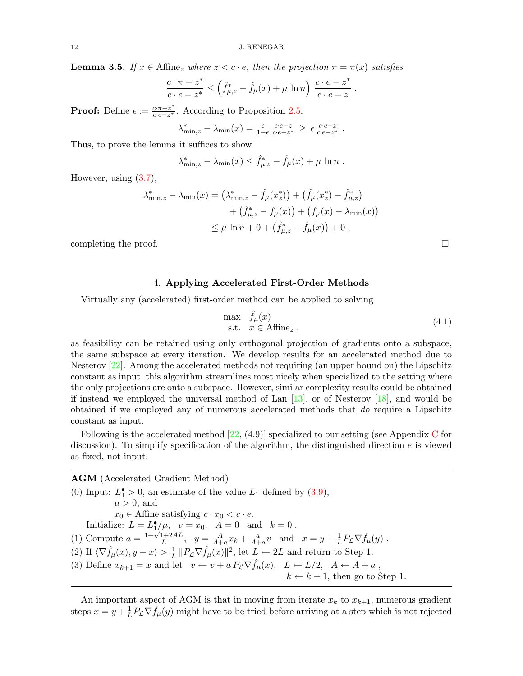**Lemma 3.5.** If  $x \in \text{Affine}_z$  where  $z < c \cdot e$ , then the projection  $\pi = \pi(x)$  satisfies

$$
\frac{c \cdot \pi - z^*}{c \cdot e - z^*} \leq \left(\hat{f}_{\mu,z}^* - \hat{f}_{\mu}(x) + \mu \ln n\right) \frac{c \cdot e - z^*}{c \cdot e - z}.
$$

**Proof:** Define  $\epsilon := \frac{c \cdot \pi - z^*}{c \cdot e - z^*}$  $\frac{c \cdot \pi - z^*}{c \cdot e - z^*}$ . According to Proposition [2.5,](#page-3-2)

$$
\lambda_{\min,z}^* - \lambda_{\min}(x) = \frac{\epsilon}{1-\epsilon} \frac{c \cdot e - z}{c \cdot e - z^*} \geq \epsilon \frac{c \cdot e - z}{c \cdot e - z^*}.
$$

Thus, to prove the lemma it suffices to show

$$
\lambda_{\min,z}^* - \lambda_{\min}(x) \leq \hat{f}_{\mu,z}^* - \hat{f}_{\mu}(x) + \mu \ln n .
$$

However, using  $(3.7)$ ,

$$
\lambda_{\min,z}^* - \lambda_{\min}(x) = \left(\lambda_{\min,z}^* - \hat{f}_{\mu}(x_z^*)\right) + \left(\hat{f}_{\mu}(x_z^*) - \hat{f}_{\mu,z}^*\right) + \left(\hat{f}_{\mu,z}^* - \hat{f}_{\mu}(x)\right) + \left(\hat{f}_{\mu}(x) - \lambda_{\min}(x)\right) \leq \mu \ln n + 0 + \left(\hat{f}_{\mu,z}^* - \hat{f}_{\mu}(x)\right) + 0,
$$

completing the proof.  $\Box$ 

### 4. Applying Accelerated First-Order Methods

<span id="page-11-0"></span>Virtually any (accelerated) first-order method can be applied to solving

<span id="page-11-1"></span>
$$
\begin{array}{ll}\n\max & \hat{f}_{\mu}(x) \\
\text{s.t.} & x \in \text{Affine}_{z} \n\end{array},\n\tag{4.1}
$$

as feasibility can be retained using only orthogonal projection of gradients onto a subspace, the same subspace at every iteration. We develop results for an accelerated method due to Nesterov [\[22\]](#page-27-2). Among the accelerated methods not requiring (an upper bound on) the Lipschitz constant as input, this algorithm streamlines most nicely when specialized to the setting where the only projections are onto a subspace. However, similar complexity results could be obtained if instead we employed the universal method of Lan  $[13]$ , or of Nesterov  $[18]$ , and would be obtained if we employed any of numerous accelerated methods that do require a Lipschitz constant as input.

Following is the accelerated method  $[22, (4.9)]$  $[22, (4.9)]$  specialized to our setting (see Appendix [C](#page-22-0) for discussion). To simplify specification of the algorithm, the distinguished direction  $e$  is viewed as fixed, not input.

AGM (Accelerated Gradient Method)

(0) Input:  $L_1^{\bullet} > 0$ , an estimate of the value  $L_1$  defined by  $(3.9)$ ,  $\mu > 0$ , and  $x_0 \in$  Affine satisfying  $c \cdot x_0 < c \cdot e$ . Initialize:  $L = L_1^{\bullet}/\mu$ ,  $v = x_0$ ,  $A = 0$  and  $k = 0$ . (1) Compute  $a = \frac{1+\sqrt{1+2AL}}{L}$  $\frac{1+2AL}{L}, y = \frac{A}{A+}$  $\frac{A}{A+a}x_k + \frac{a}{A+}$  $\frac{a}{A+a}v$  and  $x=y+\frac{1}{L}$  $\frac{1}{L} P_{\mathcal{L}} \nabla \hat{f}_{\mu}(y)$ . (2) If  $\langle \nabla \hat{f}_{\mu}(x), y - x \rangle > \frac{1}{L} || P_{\mathcal{L}} \nabla \hat{f}_{\mu}(x)||^2$ , let  $L \leftarrow 2L$  and return to Step 1. (2) If  $\sqrt{y \mu(x)}, y = x$  >  $\frac{1}{L} \|P_L \sqrt{y \mu(x)}\|$ , let  $L \leftarrow 2L$  and fealth to step 1.<br>
(3) Define  $x_{k+1} = x$  and let  $v \leftarrow v + a P_L \nabla \hat{f}_\mu(x)$ ,  $L \leftarrow L/2$ ,  $A \leftarrow A + a$ ,  $k \leftarrow k + 1$ , then go to Step 1.

An important aspect of AGM is that in moving from iterate  $x_k$  to  $x_{k+1}$ , numerous gradient steps  $x = y + \frac{1}{l}$  $\frac{1}{L}P_{\mathcal{L}}\nabla \hat{f}_{\mu}(y)$  might have to be tried before arriving at a step which is not rejected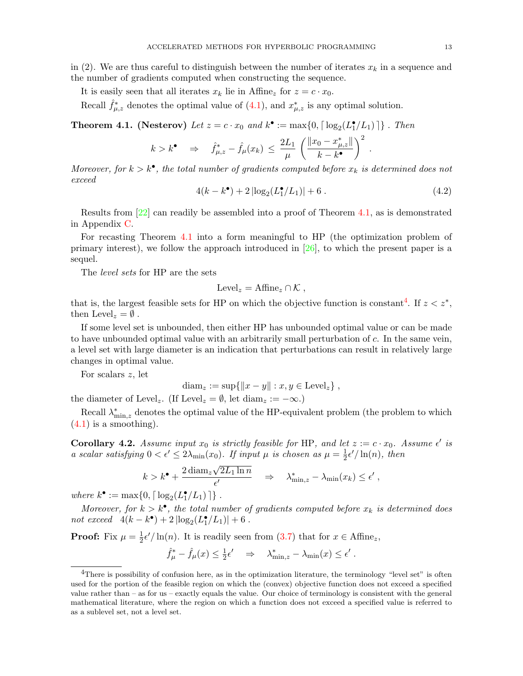in (2). We are thus careful to distinguish between the number of iterates  $x_k$  in a sequence and the number of gradients computed when constructing the sequence.

It is easily seen that all iterates  $x_k$  lie in Affine<sub>z</sub> for  $z = c \cdot x_0$ .

Recall  $\hat{f}^*_{\mu,z}$  denotes the optimal value of  $(4.1)$ , and  $x^*_{\mu,z}$  is any optimal solution.

<span id="page-12-0"></span>**Theorem 4.1.** (Nesterov) Let  $z = c \cdot x_0$  and  $k^{\bullet} := \max\{0, \lceil \log_2(L_1^{\bullet}/L_1) \rceil \}$ . Then

$$
k > k^{\bullet} \quad \Rightarrow \quad \hat{f}_{\mu,z}^* - \hat{f}_{\mu}(x_k) \le \frac{2L_1}{\mu} \left( \frac{\|x_0 - x_{\mu,z}^*\|}{k - k^{\bullet}} \right)^2
$$

Moreover, for  $k > k^{\bullet}$ , the total number of gradients computed before  $x_k$  is determined does not exceed

$$
4(k - k^{\bullet}) + 2|\log_2(L_1^{\bullet}/L_1)| + 6.
$$
\n(4.2)

.

Results from [\[22\]](#page-27-2) can readily be assembled into a proof of Theorem [4.1,](#page-12-0) as is demonstrated in Appendix [C.](#page-22-0)

For recasting Theorem [4.1](#page-12-0) into a form meaningful to HP (the optimization problem of primary interest), we follow the approach introduced in [\[26\]](#page-27-0), to which the present paper is a sequel.

The level sets for HP are the sets

$$
Level_z = Affine_z \cap \mathcal{K},
$$

that is, the largest feasible sets for HP on which the objective function is constant<sup>[4](#page-12-1)</sup>. If  $z < z^*$ , then Level<sub> $z = \emptyset$ </sub>.

If some level set is unbounded, then either HP has unbounded optimal value or can be made to have unbounded optimal value with an arbitrarily small perturbation of c. In the same vein, a level set with large diameter is an indication that perturbations can result in relatively large changes in optimal value.

For scalars z, let

$$
diam_z := sup\{ ||x - y|| : x, y \in Level_z \},
$$

the diameter of Level<sub>z</sub>. (If Level<sub>z</sub> =  $\emptyset$ , let diam<sub>z</sub> :=  $-\infty$ .)

Recall  $\lambda_{\min,z}^*$  denotes the optimal value of the HP-equivalent problem (the problem to which  $(4.1)$  is a smoothing).

<span id="page-12-2"></span>Corollary 4.2. Assume input  $x_0$  is strictly feasible for HP, and let  $z := c \cdot x_0$ . Assume  $\epsilon'$  is a scalar satisfying  $0 < \epsilon' \leq 2\lambda_{\min}(x_0)$ . If input  $\mu$  is chosen as  $\mu = \frac{1}{2}$  $\frac{1}{2}\epsilon'/\ln(n)$ , then

$$
k > k^{\bullet} + \frac{2 \operatorname{diam}_z \sqrt{2L_1 \ln n}}{\epsilon'} \quad \Rightarrow \quad \lambda^*_{\min, z} - \lambda_{\min}(x_k) \le \epsilon' \ ,
$$

where  $k^{\bullet} := \max\{0, \lceil \log_2(L_1^{\bullet}/L_1) \rceil \}$ .

Moreover, for  $k > k^{\bullet}$ , the total number of gradients computed before  $x_k$  is determined does not exceed  $4(k - k^{\bullet}) + 2 |\log_2(L_1^{\bullet}/L_1)| + 6$ .

**Proof:** Fix  $\mu = \frac{1}{2}$  $\frac{1}{2} \epsilon' / \ln(n)$ . It is readily seen from [\(3.7\)](#page-9-2) that for  $x \in \text{Affine}_z$ ,

$$
\hat{f}^*_{\mu} - \hat{f}_{\mu}(x) \leq \frac{1}{2} \epsilon' \quad \Rightarrow \quad \lambda^*_{\min, z} - \lambda_{\min}(x) \leq \epsilon'.
$$

<span id="page-12-1"></span> $4$ There is possibility of confusion here, as in the optimization literature, the terminology "level set" is often used for the portion of the feasible region on which the (convex) objective function does not exceed a specified value rather than – as for us – exactly equals the value. Our choice of terminology is consistent with the general mathematical literature, where the region on which a function does not exceed a specified value is referred to as a sublevel set, not a level set.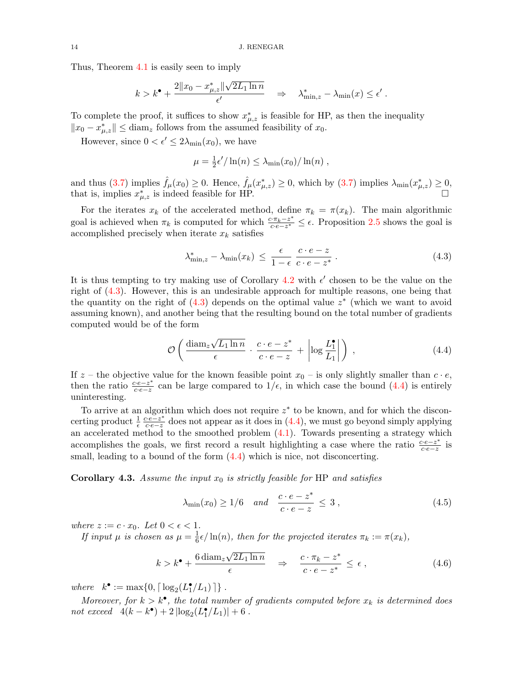Thus, Theorem [4.1](#page-12-0) is easily seen to imply

$$
k > k^{\bullet} + \frac{2\|x_0 - x_{\mu,z}^*\| \sqrt{2L_1 \ln n}}{\epsilon'} \quad \Rightarrow \quad \lambda_{\min,z}^* - \lambda_{\min}(x) \le \epsilon' \; .
$$

To complete the proof, it suffices to show  $x^*_{\mu,z}$  is feasible for HP, as then the inequality  $||x_0 - x^*_{\mu,z}|| \leq \text{diam}_z$  follows from the assumed feasibility of  $x_0$ .

However, since  $0 < \epsilon' \leq 2\lambda_{\min}(x_0)$ , we have

$$
\mu = \frac{1}{2} \epsilon' / \ln(n) \leq \lambda_{\min}(x_0) / \ln(n) ,
$$

and thus [\(3.7\)](#page-9-2) implies  $\hat{f}_{\mu}(x_0) \ge 0$ . Hence,  $\hat{f}_{\mu}(x_{\mu,z}^*) \ge 0$ , which by (3.7) implies  $\lambda_{\min}(x_{\mu,z}^*) \ge 0$ , that is, implies  $x_{\mu,z}^*$  is indeed feasible for HP.

For the iterates  $x_k$  of the accelerated method, define  $\pi_k = \pi(x_k)$ . The main algorithmic goal is achieved when  $\pi_k$  is computed for which  $\frac{c \cdot \pi_k - z^*}{c \cdot e - z^*}$  $\frac{c \cdot \pi_k - z^*}{c \cdot e - z^*} \leq \epsilon$ . Proposition [2.5](#page-3-2) shows the goal is accomplished precisely when iterate  $x_k$  satisfies

<span id="page-13-0"></span>
$$
\lambda_{\min,z}^* - \lambda_{\min}(x_k) \le \frac{\epsilon}{1 - \epsilon} \frac{c \cdot e - z}{c \cdot e - z^*} \,. \tag{4.3}
$$

It is thus tempting to try making use of Corollary [4.2](#page-12-2) with  $\epsilon'$  chosen to be the value on the right of [\(4.3\)](#page-13-0). However, this is an undesirable approach for multiple reasons, one being that the quantity on the right of  $(4.3)$  depends on the optimal value  $z^*$  (which we want to avoid assuming known), and another being that the resulting bound on the total number of gradients computed would be of the form

<span id="page-13-1"></span>
$$
\mathcal{O}\left(\frac{\text{diam}_z \sqrt{L_1 \ln n}}{\epsilon} \cdot \frac{c \cdot e - z^*}{c \cdot e - z} + \left|\log \frac{L_1^{\bullet}}{L_1}\right|\right),\tag{4.4}
$$

If  $z$  – the objective value for the known feasible point  $x_0$  – is only slightly smaller than  $c \cdot e$ , then the ratio  $\frac{c \cdot e - z^*}{c \cdot e - z^*}$  $ce-z^*$  can be large compared to 1/ $\epsilon$ , in which case the bound [\(4.4\)](#page-13-1) is entirely uninteresting.

To arrive at an algorithm which does not require  $z^*$  to be known, and for which the disconcerting product  $\frac{1}{\epsilon}$  $c \cdot e - z^*$  $\frac{c \cdot e - z^*}{c \cdot e - z}$  does not appear as it does in [\(4.4\)](#page-13-1), we must go beyond simply applying an accelerated method to the smoothed problem  $(4.1)$ . Towards presenting a strategy which accomplishes the goals, we first record a result highlighting a case where the ratio  $\frac{ce-z^*}{ce-z^*}$  $\frac{c \cdot e - z^*}{c \cdot e - z}$  is small, leading to a bound of the form  $(4.4)$  which is nice, not disconcerting.

<span id="page-13-4"></span>**Corollary 4.3.** Assume the input  $x_0$  is strictly feasible for HP and satisfies

<span id="page-13-2"></span>
$$
\lambda_{\min}(x_0) \ge 1/6 \quad and \quad \frac{c \cdot e - z^*}{c \cdot e - z} \le 3 , \tag{4.5}
$$

where  $z := c \cdot x_0$ . Let  $0 < \epsilon < 1$ .

If input  $\mu$  is chosen as  $\mu = \frac{1}{6}$  $\frac{1}{6}\epsilon/\ln(n)$ , then for the projected iterates  $\pi_k := \pi(x_k)$ ,

<span id="page-13-3"></span>
$$
k > k^{\bullet} + \frac{6 \operatorname{diam}_z \sqrt{2L_1 \ln n}}{\epsilon} \quad \Rightarrow \quad \frac{c \cdot \pi_k - z^*}{c \cdot e - z^*} \le \epsilon \,, \tag{4.6}
$$

where  $k^{\bullet} := \max\{0, \lceil \log_2(L_1^{\bullet}/L_1) \rceil \}$ .

Moreover, for  $k > k^{\bullet}$ , the total number of gradients computed before  $x_k$  is determined does not exceed  $4(k - k^{\bullet}) + 2 |\log_2(L_1^{\bullet}/L_1)| + 6$ .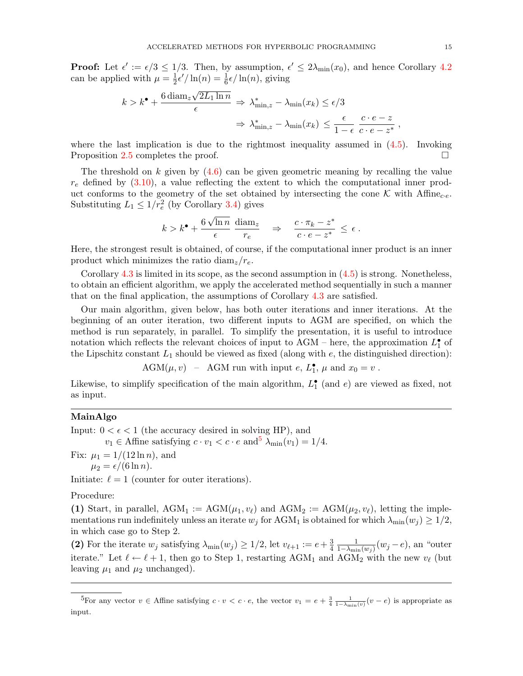**Proof:** Let  $\epsilon' := \epsilon/3 \leq 1/3$ . Then, by assumption,  $\epsilon' \leq 2\lambda_{\min}(x_0)$ , and hence Corollary [4.2](#page-12-2) can be applied with  $\mu = \frac{1}{2}$  $\frac{1}{2}\epsilon'/\ln(n) = \frac{1}{6}\epsilon/\ln(n)$ , giving

$$
k > k^{\bullet} + \frac{6 \operatorname{diam}_z \sqrt{2L_1 \ln n}}{\epsilon} \Rightarrow \lambda^*_{\min, z} - \lambda_{\min}(x_k) \le \epsilon/3
$$

$$
\Rightarrow \lambda^*_{\min, z} - \lambda_{\min}(x_k) \le \frac{\epsilon}{1 - \epsilon} \frac{c \cdot e - z}{c \cdot e - z^*}
$$

where the last implication is due to the rightmost inequality assumed in  $(4.5)$ . Invoking Proposition [2.5](#page-3-2) completes the proof.

The threshold on  $k$  given by  $(4.6)$  can be given geometric meaning by recalling the value  $r_e$  defined by  $(3.10)$ , a value reflecting the extent to which the computational inner product conforms to the geometry of the set obtained by intersecting the cone  $K$  with Affine<sub>c·e</sub>. Substituting  $L_1 \leq 1/r_e^2$  (by Corollary [3.4\)](#page-10-2) gives

$$
k > k^{\bullet} + \frac{6\sqrt{\ln n}}{\epsilon} \frac{\text{diam}_{z}}{r_{e}} \quad \Rightarrow \quad \frac{c \cdot \pi_{k} - z^{*}}{c \cdot e - z^{*}} \leq \epsilon.
$$

Here, the strongest result is obtained, of course, if the computational inner product is an inner product which minimizes the ratio  $\text{diam}_z/r_e$ .

Corollary  $4.3$  is limited in its scope, as the second assumption in  $(4.5)$  is strong. Nonetheless, to obtain an efficient algorithm, we apply the accelerated method sequentially in such a manner that on the final application, the assumptions of Corollary [4.3](#page-13-4) are satisfied.

Our main algorithm, given below, has both outer iterations and inner iterations. At the beginning of an outer iteration, two different inputs to AGM are specified, on which the method is run separately, in parallel. To simplify the presentation, it is useful to introduce notation which reflects the relevant choices of input to AGM – here, the approximation  $L_1^{\bullet}$  of the Lipschitz constant  $L_1$  should be viewed as fixed (along with  $e$ , the distinguished direction):

$$
AGM(\mu, v) - AGM \text{ run with input } e, L_1^{\bullet}, \mu \text{ and } x_0 = v.
$$

Likewise, to simplify specification of the main algorithm,  $L_1^{\bullet}$  (and e) are viewed as fixed, not as input.

### MainAlgo

Input:  $0 < \epsilon < 1$  (the accuracy desired in solving HP), and

$$
v_1 \in
$$
 Affine satisfying  $c \cdot v_1 < c \cdot e$  and  $\delta \lambda_{\min}(v_1) = 1/4$ .

Fix:  $\mu_1 = 1/(12 \ln n)$ , and  $\mu_2 = \epsilon/(6 \ln n).$ 

Initiate:  $\ell = 1$  (counter for outer iterations).

Procedure:

(1) Start, in parallel,  $AGM_1 := AGM(\mu_1, \nu_\ell)$  and  $AGM_2 := AGM(\mu_2, \nu_\ell)$ , letting the implementations run indefinitely unless an iterate  $w_j$  for AGM<sub>1</sub> is obtained for which  $\lambda_{\min}(w_j) \geq 1/2$ , in which case go to Step 2.

(2) For the iterate  $w_j$  satisfying  $\lambda_{\min}(w_j) \geq 1/2$ , let  $v_{\ell+1} := e + \frac{3}{4}$ 4 1  $\frac{1}{1-\lambda_{\min}(w_j)}(w_j-e)$ , an "outer iterate." Let  $\ell \leftarrow \ell + 1$ , then go to Step 1, restarting AGM<sub>1</sub> and AGM<sub>2</sub> with the new  $v_{\ell}$  (but leaving  $\mu_1$  and  $\mu_2$  unchanged).

,

<span id="page-14-0"></span><sup>&</sup>lt;sup>5</sup>For any vector  $v \in A$  ffine satisfying  $c \cdot v < c \cdot e$ , the vector  $v_1 = e + \frac{3}{4} \frac{1}{1 - \lambda_{\min}(v)} (v - e)$  is appropriate as input.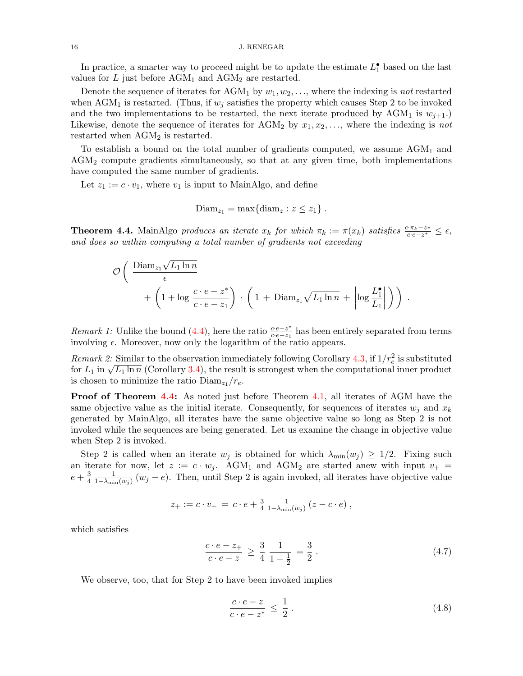In practice, a smarter way to proceed might be to update the estimate  $L_1^{\bullet}$  based on the last values for  $L$  just before  $AGM_1$  and  $AGM_2$  are restarted.

Denote the sequence of iterates for AGM<sub>1</sub> by  $w_1, w_2, \ldots$ , where the indexing is not restarted when  $AGM<sub>1</sub>$  is restarted. (Thus, if  $w<sub>j</sub>$  satisfies the property which causes Step 2 to be invoked and the two implementations to be restarted, the next iterate produced by AGM<sub>1</sub> is  $w_{i+1}$ . Likewise, denote the sequence of iterates for AGM<sub>2</sub> by  $x_1, x_2, \ldots$ , where the indexing is not restarted when  $AGM<sub>2</sub>$  is restarted.

To establish a bound on the total number of gradients computed, we assume  $AGM<sub>1</sub>$  and AGM<sup>2</sup> compute gradients simultaneously, so that at any given time, both implementations have computed the same number of gradients.

Let  $z_1 := c \cdot v_1$ , where  $v_1$  is input to MainAlgo, and define

$$
Diam_{z_1} = max{diam_z : z \leq z_1}.
$$

<span id="page-15-0"></span>**Theorem 4.4.** MainAlgo produces an iterate  $x_k$  for which  $\pi_k := \pi(x_k)$  satisfies  $\frac{c \cdot \pi_k - z^*}{c \cdot e - z^*} \leq \epsilon$ , and does so within computing a total number of gradients not exceeding

$$
\mathcal{O}\left(\frac{\text{Diam}_{z_1}\sqrt{L_1\ln n}}{\epsilon} + \left(1 + \log \frac{c \cdot e - z^*}{c \cdot e - z_1}\right) \cdot \left(1 + \text{Diam}_{z_1}\sqrt{L_1\ln n} + \left|\log \frac{L_1^{\bullet}}{L_1}\right|\right)\right).
$$

Remark 1: Unlike the bound [\(4.4\)](#page-13-1), here the ratio  $\frac{ce-z^*}{ce-z^*}$  $\frac{c \cdot e - z^*}{c \cdot e - z_1}$  has been entirely separated from terms involving  $\epsilon$ . Moreover, now only the logarithm of the ratio appears.

Remark 2: Similar to the observation immediately following Corollary [4.3,](#page-13-4) if  $1/r_e^2$  is substituted *for L<sub>1</sub>* in  $\sqrt{L_1 \ln n}$  (Corollary [3.4\)](#page-10-2), the result is strongest when the computational inner product for  $L_1$  in  $\sqrt{L_1 \ln n}$  (Corollary 3.4), the result is strongest when the computational inner product is chosen to minimize the ratio  $Diam_{z_1}/r_e$ .

Proof of Theorem [4.4:](#page-15-0) As noted just before Theorem [4.1,](#page-12-0) all iterates of AGM have the same objective value as the initial iterate. Consequently, for sequences of iterates  $w_j$  and  $x_k$ generated by MainAlgo, all iterates have the same objective value so long as Step 2 is not invoked while the sequences are being generated. Let us examine the change in objective value when Step 2 is invoked.

Step 2 is called when an iterate  $w_j$  is obtained for which  $\lambda_{\min}(w_j) \geq 1/2$ . Fixing such an iterate for now, let  $z := c \cdot w_j$ . AGM<sub>1</sub> and AGM<sub>2</sub> are started anew with input  $v_+$  $e+\frac{3}{4}$ 4 1  $\frac{1}{1-\lambda_{\min}(w_j)}(w_j-e)$ . Then, until Step 2 is again invoked, all iterates have objective value

$$
z_+ := c \cdot v_+ \, = \, c \cdot e + \frac{3}{4} \, \frac{1}{1 - \lambda_{\min}(w_j)} \, \big( z - c \cdot e \big) \;,
$$

which satisfies

<span id="page-15-1"></span>
$$
\frac{c \cdot e - z_+}{c \cdot e - z} \ge \frac{3}{4} \frac{1}{1 - \frac{1}{2}} = \frac{3}{2} \,. \tag{4.7}
$$

We observe, too, that for Step 2 to have been invoked implies

<span id="page-15-2"></span>
$$
\frac{c \cdot e - z}{c \cdot e - z^*} \le \frac{1}{2} \,. \tag{4.8}
$$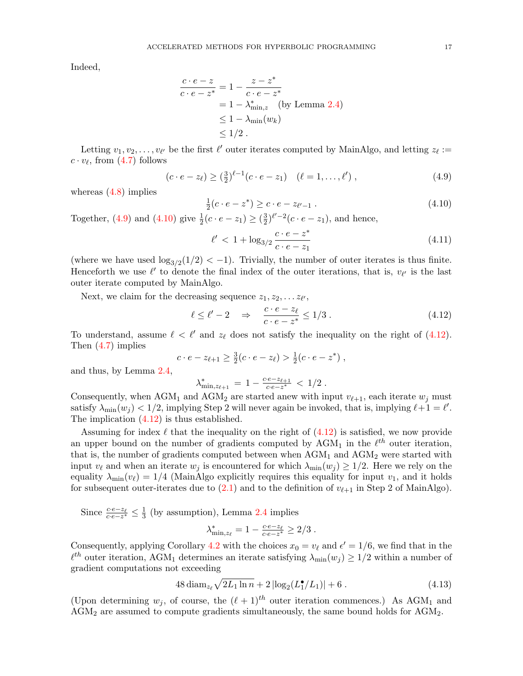Indeed,

$$
\frac{c \cdot e - z}{c \cdot e - z^*} = 1 - \frac{z - z^*}{c \cdot e - z^*}
$$
  
= 1 - \lambda^\*\_{\min, z} \text{ (by Lemma 2.4)}  

$$
\leq 1 - \lambda_{\min}(w_k)
$$
  

$$
\leq 1/2.
$$

Letting  $v_1, v_2, \ldots, v_{\ell'}$  be the first  $\ell'$  outer iterates computed by MainAlgo, and letting  $z_{\ell} :=$  $c \cdot v_{\ell}$ , from  $(4.7)$  follows

<span id="page-16-0"></span>
$$
(c \cdot e - z_{\ell}) \ge \left(\frac{3}{2}\right)^{\ell - 1} (c \cdot e - z_1) \quad (\ell = 1, \dots, \ell') , \tag{4.9}
$$

whereas [\(4.8\)](#page-15-2) implies

<span id="page-16-1"></span>
$$
\frac{1}{2}(c \cdot e - z^*) \ge c \cdot e - z_{\ell'-1} \tag{4.10}
$$

Together, [\(4.9\)](#page-16-0) and [\(4.10\)](#page-16-1) give  $\frac{1}{2}(c \cdot e - z_1) \ge (\frac{3}{2})$  $\frac{3}{2}$ )<sup> $\ell'-2$ </sup>( $c \cdot e - z_1$ ), and hence,

<span id="page-16-3"></span>
$$
\ell' < 1 + \log_{3/2} \frac{c \cdot e - z^*}{c \cdot e - z_1} \tag{4.11}
$$

(where we have used  $\log_{3/2}(1/2) < -1$ ). Trivially, the number of outer iterates is thus finite. Henceforth we use  $\ell'$  to denote the final index of the outer iterations, that is,  $v_{\ell'}$  is the last outer iterate computed by MainAlgo.

Next, we claim for the decreasing sequence  $z_1, z_2, \ldots z_{\ell'}$ ,

<span id="page-16-2"></span>
$$
\ell \le \ell' - 2 \quad \Rightarrow \quad \frac{c \cdot e - z_{\ell}}{c \cdot e - z^*} \le 1/3 \,. \tag{4.12}
$$

To understand, assume  $\ell < \ell'$  and  $z_{\ell}$  does not satisfy the inequality on the right of [\(4.12\)](#page-16-2). Then [\(4.7\)](#page-15-1) implies

$$
c \cdot e - z_{\ell+1} \ge \frac{3}{2}(c \cdot e - z_{\ell}) > \frac{1}{2}(c \cdot e - z^*)
$$
,

and thus, by Lemma [2.4,](#page-3-3)

$$
\lambda^*_{\min, z_{\ell+1}} \, = \, 1 - \frac{c \cdot e - z_{\ell+1}}{c \cdot e - z^*} \, < \, 1/2 \; .
$$

Consequently, when AGM<sub>1</sub> and AGM<sub>2</sub> are started anew with input  $v_{\ell+1}$ , each iterate  $w_j$  must satisfy  $\lambda_{\min}(w_j) < 1/2$ , implying Step 2 will never again be invoked, that is, implying  $\ell + 1 = \ell'$ . The implication [\(4.12\)](#page-16-2) is thus established.

Assuming for index  $\ell$  that the inequality on the right of  $(4.12)$  is satisfied, we now provide an upper bound on the number of gradients computed by  $AGM_1$  in the  $\ell^{th}$  outer iteration, that is, the number of gradients computed between when  $AGM<sub>1</sub>$  and  $AGM<sub>2</sub>$  were started with input  $v_{\ell}$  and when an iterate  $w_j$  is encountered for which  $\lambda_{\min}(w_j) \geq 1/2$ . Here we rely on the equality  $\lambda_{\min}(v_{\ell}) = 1/4$  (MainAlgo explicitly requires this equality for input  $v_1$ , and it holds for subsequent outer-iterates due to  $(2.1)$  and to the definition of  $v_{\ell+1}$  in Step 2 of MainAlgo).

Since  $\frac{c \cdot e - z_{\ell}}{c \cdot e - z^*} \leq \frac{1}{3}$  $\frac{1}{3}$  (by assumption), Lemma [2.4](#page-3-3) implies

$$
\lambda_{\min, z_{\ell}}^* = 1 - \frac{c \cdot e - z_{\ell}}{c \cdot e - z^*} \geq 2/3 \; .
$$

Consequently, applying Corollary [4.2](#page-12-2) with the choices  $x_0 = v_\ell$  and  $\epsilon' = 1/6$ , we find that in the  $\ell^{th}$  outer iteration, AGM<sub>1</sub> determines an iterate satisfying  $\lambda_{\min}(w_j) \geq 1/2$  within a number of gradient computations not exceeding

$$
48 \operatorname{diam}_{z_{\ell}} \sqrt{2L_1 \ln n} + 2 |\log_2(L_1^{\bullet}/L_1)| + 6.
$$
 (4.13)

(Upon determining  $w_j$ , of course, the  $(\ell + 1)^{th}$  outer iteration commences.) As AGM<sub>1</sub> and  $AGM<sub>2</sub>$  are assumed to compute gradients simultaneously, the same bound holds for  $AGM<sub>2</sub>$ .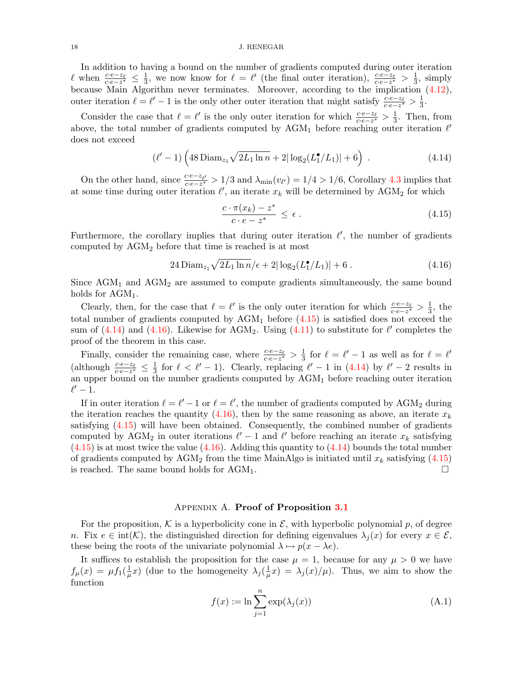In addition to having a bound on the number of gradients computed during outer iteration  $\ell$  when  $\frac{c \cdot e - z_{\ell}}{c \cdot e - z^*}$  ≤  $\frac{1}{3}$  $\frac{1}{3}$ , we now know for  $\ell = \ell'$  (the final outer iteration),  $\frac{c \cdot e - z_{\ell}}{c \cdot e - z^*} > \frac{1}{3}$  $\frac{1}{3}$ , simply because Main Algorithm never terminates. Moreover, according to the implication [\(4.12\)](#page-16-2), outer iteration  $\ell = \ell' - 1$  is the only other outer iteration that might satisfy  $\frac{c \cdot e - z_{\ell}}{c \cdot e - z^*} > \frac{1}{3}$  $\frac{1}{3}$ .

Consider the case that  $\ell = \ell'$  is the only outer iteration for which  $\frac{c \cdot e - z_{\ell}}{c \cdot e - z^*} > \frac{1}{3}$  $\frac{1}{3}$ . Then, from above, the total number of gradients computed by AGM<sub>1</sub> before reaching outer iteration  $\ell'$ does not exceed

<span id="page-17-2"></span>
$$
(\ell'-1)\left(48\,\text{Diam}_{z_1}\sqrt{2L_1\ln n} + 2|\log_2(L_1^{\bullet}/L_1)| + 6\right) \,. \tag{4.14}
$$

On the other hand, since  $\frac{c \cdot e - z_{\ell'}}{c \cdot e - z^*} > 1/3$  and  $\lambda_{\min}(v_{\ell'}) = 1/4 > 1/6$ , Corollary [4.3](#page-13-4) implies that at some time during outer iteration  $\ell'$ , an iterate  $x_k$  will be determined by AGM<sub>2</sub> for which

<span id="page-17-1"></span>
$$
\frac{c \cdot \pi(x_k) - z^*}{c \cdot e - z^*} \le \epsilon \,. \tag{4.15}
$$

Furthermore, the corollary implies that during outer iteration  $\ell'$ , the number of gradients computed by AGM<sup>2</sup> before that time is reached is at most

<span id="page-17-3"></span>
$$
24\,\text{Diam}_{z_1}\sqrt{2L_1\ln n}/\epsilon + 2|\log_2(L_1^{\bullet}/L_1)| + 6\,. \tag{4.16}
$$

Since  $AGM<sub>1</sub>$  and  $AGM<sub>2</sub>$  are assumed to compute gradients simultaneously, the same bound holds for  $AGM_1$ .

Clearly, then, for the case that  $\ell = \ell'$  is the only outer iteration for which  $\frac{c \cdot e - z_{\ell}}{c \cdot e - z^*} > \frac{1}{3}$  $\frac{1}{3}$ , the total number of gradients computed by  $AGM_1$  before  $(4.15)$  is satisfied does not exceed the sum of  $(4.14)$  and  $(4.16)$ . Likewise for AGM<sub>2</sub>. Using  $(4.11)$  to substitute for  $\ell'$  completes the proof of the theorem in this case.

Finally, consider the remaining case, where  $\frac{c \cdot e - z_{\ell}}{c \cdot e - z^*} > \frac{1}{3}$  $\frac{1}{3}$  for  $\ell = \ell' - 1$  as well as for  $\ell = \ell'$ (although  $\frac{c \cdot e - z_{\ell}}{c \cdot e - z^*} \leq \frac{1}{3}$  $\frac{1}{3}$  for  $\ell < \ell' - 1$ ). Clearly, replacing  $\ell' - 1$  in [\(4.14\)](#page-17-2) by  $\ell' - 2$  results in an upper bound on the number gradients computed by  $AGM<sub>1</sub>$  before reaching outer iteration  $\ell' - 1$ .

If in outer iteration  $\ell = \ell' - 1$  or  $\ell = \ell'$ , the number of gradients computed by AGM<sub>2</sub> during the iteration reaches the quantity [\(4.16\)](#page-17-3), then by the same reasoning as above, an iterate  $x_k$ satisfying [\(4.15\)](#page-17-1) will have been obtained. Consequently, the combined number of gradients computed by AGM<sub>2</sub> in outer iterations  $\ell' - 1$  and  $\ell'$  before reaching an iterate  $x_k$  satisfying  $(4.15)$  is at most twice the value  $(4.16)$ . Adding this quantity to  $(4.14)$  bounds the total number of gradients computed by  $AGM_2$  from the time MainAlgo is initiated until  $x_k$  satisfying [\(4.15\)](#page-17-1) is reached. The same bound holds for  $AGM_1$ .

### APPENDIX A. Proof of Proposition [3.1](#page-6-0)

<span id="page-17-0"></span>For the proposition, K is a hyperbolicity cone in  $\mathcal{E}$ , with hyperbolic polynomial p, of degree n. Fix  $e \in \text{int}(\mathcal{K})$ , the distinguished direction for defining eigenvalues  $\lambda_i(x)$  for every  $x \in \mathcal{E}$ , these being the roots of the univariate polynomial  $\lambda \mapsto p(x - \lambda e)$ .

It suffices to establish the proposition for the case  $\mu = 1$ , because for any  $\mu > 0$  we have  $f_{\mu}(x) = \mu f_1(\frac{1}{\mu})$  $\frac{1}{\mu}x$ ) (due to the homogeneity  $\lambda_j(\frac{1}{\mu})$  $\frac{1}{\mu}x$  =  $\lambda_j(x)/\mu$ . Thus, we aim to show the function

<span id="page-17-4"></span>
$$
f(x) := \ln \sum_{j=1}^{n} \exp(\lambda_j(x))
$$
\n(A.1)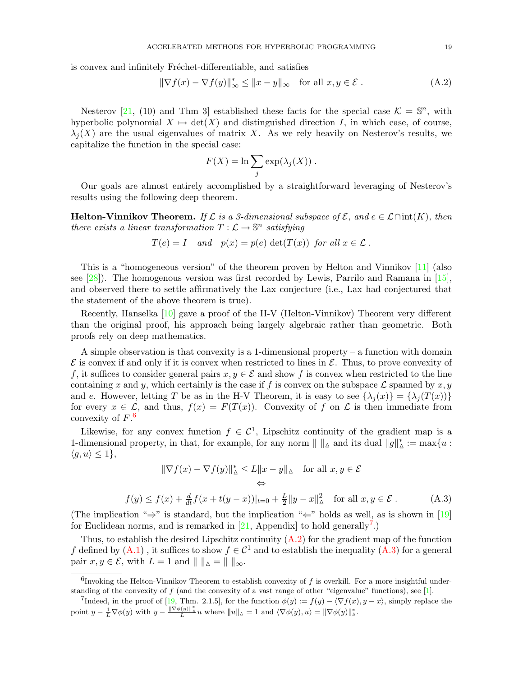is convex and infinitely Fréchet-differentiable, and satisfies

<span id="page-18-2"></span>
$$
\|\nabla f(x) - \nabla f(y)\|_{\infty}^* \le \|x - y\|_{\infty} \quad \text{for all } x, y \in \mathcal{E} .
$$
 (A.2)

Nesterov [\[21,](#page-27-6) (10) and Thm 3 established these facts for the special case  $\mathcal{K} = \mathbb{S}^n$ , with hyperbolic polynomial  $X \mapsto \det(X)$  and distinguished direction I, in which case, of course,  $\lambda_i(X)$  are the usual eigenvalues of matrix X. As we rely heavily on Nesterov's results, we capitalize the function in the special case:

$$
F(X) = \ln \sum_{j} \exp(\lambda_j(X)).
$$

Our goals are almost entirely accomplished by a straightforward leveraging of Nesterov's results using the following deep theorem.

**Helton-Vinnikov Theorem.** If L is a 3-dimensional subspace of  $\mathcal{E}$ , and  $e \in \mathcal{L} \cap \text{int}(K)$ , then there exists a linear transformation  $T: \mathcal{L} \to \mathbb{S}^n$  satisfying

$$
T(e) = I
$$
 and  $p(x) = p(e) \det(T(x))$  for all  $x \in \mathcal{L}$ .

This is a "homogeneous version" of the theorem proven by Helton and Vinnikov [\[11\]](#page-26-13) (also see  $[28]$ ). The homogenous version was first recorded by Lewis, Parrilo and Ramana in [\[15\]](#page-26-14), and observed there to settle affirmatively the Lax conjecture (i.e., Lax had conjectured that the statement of the above theorem is true).

Recently, Hanselka [\[10\]](#page-26-15) gave a proof of the H-V (Helton-Vinnikov) Theorem very different than the original proof, his approach being largely algebraic rather than geometric. Both proofs rely on deep mathematics.

A simple observation is that convexity is a 1-dimensional property – a function with domain  $\mathcal E$  is convex if and only if it is convex when restricted to lines in  $\mathcal E$ . Thus, to prove convexity of f, it suffices to consider general pairs  $x, y \in \mathcal{E}$  and show f is convex when restricted to the line containing x and y, which certainly is the case if f is convex on the subspace  $\mathcal L$  spanned by  $x, y$ and e. However, letting T be as in the H-V Theorem, it is easy to see  $\{\lambda_i(x)\} = \{\lambda_i(T(x))\}$ for every  $x \in \mathcal{L}$ , and thus,  $f(x) = F(T(x))$ . Convexity of f on  $\mathcal{L}$  is then immediate from convexity of  $F<sup>6</sup>$  $F<sup>6</sup>$  $F<sup>6</sup>$ .

Likewise, for any convex function  $f \in C^1$ , Lipschitz continuity of the gradient map is a 1-dimensional property, in that, for example, for any norm  $\| \cdot \|_{\Delta}$  and its dual  $\| g \|_{\Delta}^* := \max\{u :$  $\langle g, u \rangle \leq 1$ ,

<span id="page-18-3"></span>
$$
\|\nabla f(x) - \nabla f(y)\|_{\Delta}^* \le L\|x - y\|_{\Delta} \quad \text{for all } x, y \in \mathcal{E}
$$
  
\n
$$
\Leftrightarrow
$$
  
\n
$$
f(y) \le f(x) + \frac{d}{dt}f(x + t(y - x))|_{t=0} + \frac{L}{2}\|y - x\|_{\Delta}^2 \quad \text{for all } x, y \in \mathcal{E}.
$$
 (A.3)

(The implication " $\Rightarrow$ " is standard, but the implication " $\Leftarrow$ " holds as well, as is shown in [\[19\]](#page-26-16) for Euclidean norms, and is remarked in  $[21,$  Appendix to hold generally<sup>[7](#page-18-1)</sup>.)

Thus, to establish the desired Lipschitz continuity  $(A.2)$  for the gradient map of the function f defined by  $(A.1)$ , it suffices to show  $f \in C^1$  and to establish the inequality  $(A.3)$  for a general pair  $x, y \in \mathcal{E}$ , with  $L = 1$  and  $\| \cdot \|_{\Delta} = \| \cdot \|_{\infty}$ .

<span id="page-18-0"></span> ${}^{6}$ Invoking the Helton-Vinnikov Theorem to establish convexity of f is overkill. For a more insightful under-standing of the convexity of f (and the convexity of a vast range of other "eigenvalue" functions), see [\[1\]](#page-26-10).

<span id="page-18-1"></span><sup>&</sup>lt;sup>7</sup>Indeed, in the proof of [\[19,](#page-26-16) Thm. 2.1.5], for the function  $\phi(y) := f(y) - \langle \nabla f(x), y - x \rangle$ , simply replace the point  $y - \frac{1}{L}\nabla\phi(y)$  with  $y - \frac{\|\nabla\phi(y)\|_{\Delta}^*}{L}u$  where  $\|u\|_{\Delta} = 1$  and  $\langle \nabla\phi(y), u \rangle = \|\nabla\phi(y)\|_{\Delta}^*$ .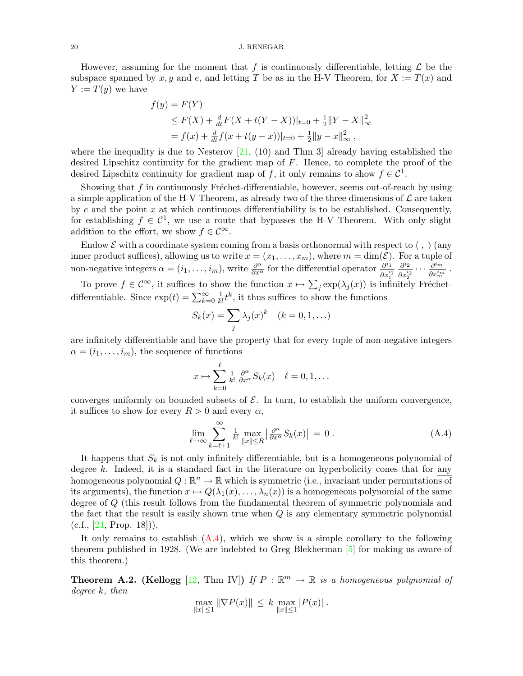However, assuming for the moment that f is continuously differentiable, letting  $\mathcal L$  be the subspace spanned by x, y and e, and letting T be as in the H-V Theorem, for  $X := T(x)$  and  $Y := T(y)$  we have

$$
f(y) = F(Y)
$$
  
\n
$$
\leq F(X) + \frac{d}{dt}F(X + t(Y - X))|_{t=0} + \frac{1}{2}||Y - X||_{\infty}^{2}
$$
  
\n
$$
= f(x) + \frac{d}{dt}f(x + t(y - x))|_{t=0} + \frac{1}{2}||y - x||_{\infty}^{2},
$$

where the inequality is due to Nesterov  $[21, (10)$  $[21, (10)$  and Thm 3 already having established the desired Lipschitz continuity for the gradient map of F. Hence, to complete the proof of the desired Lipschitz continuity for gradient map of f, it only remains to show  $f \in \mathcal{C}^1$ .

Showing that  $f$  in continuously Fréchet-differentiable, however, seems out-of-reach by using a simple application of the H-V Theorem, as already two of the three dimensions of  $\mathcal L$  are taken by  $e$  and the point  $x$  at which continuous differentiability is to be established. Consequently, for establishing  $f \in \mathcal{C}^1$ , we use a route that bypasses the H-V Theorem. With only slight addition to the effort, we show  $f \in \mathcal{C}^{\infty}$ .

Endow E with a coordinate system coming from a basis orthonormal with respect to  $\langle , \rangle$  (any inner product suffices), allowing us to write  $x = (x_1, \ldots, x_m)$ , where  $m = \dim(\mathcal{E})$ . For a tuple of non-negative integers  $\alpha = (i_1, \ldots, i_m)$ , write  $\frac{\partial^{\alpha}}{\partial x^{\alpha}}$  for the differential operator  $\frac{\partial^{i_1}}{\partial x^{i_2}}$  $\overline{\partial x^{i_1}_1}$  $\partial^{i_2}$  $\overline{\partial x_2^{i_2}}$  $\cdots \frac{\partial^{i_m}}{\partial i_m}$  $\frac{\partial^{i m}}{\partial x^{i m}_m}$  .

To prove  $f \in \mathcal{C}^{\infty}$ , it suffices to show the function  $x \mapsto \sum_{j} \exp(\lambda_j(x))$  is infinitely Fréchetdifferentiable. Since  $\exp(t) = \sum_{k=0}^{\infty} \frac{1}{k!}$  $\frac{1}{k!}t^k$ , it thus suffices to show the functions

$$
S_k(x) = \sum_j \lambda_j(x)^k \quad (k = 0, 1, \ldots)
$$

are infinitely differentiable and have the property that for every tuple of non-negative integers  $\alpha = (i_1, \ldots, i_m)$ , the sequence of functions

$$
x \mapsto \sum_{k=0}^{\ell} \frac{1}{k!} \frac{\partial^{\alpha}}{\partial x^{\alpha}} S_k(x) \quad \ell = 0, 1, \dots
$$

converges uniformly on bounded subsets of  $\mathcal{E}$ . In turn, to establish the uniform convergence, it suffices to show for every  $R > 0$  and every  $\alpha$ ,

<span id="page-19-0"></span>
$$
\lim_{\ell \to \infty} \sum_{k=\ell+1}^{\infty} \frac{1}{k!} \max_{\|x\| \le R} \left| \frac{\partial^{\alpha}}{\partial x^{\alpha}} S_k(x) \right| = 0.
$$
 (A.4)

It happens that  $S_k$  is not only infinitely differentiable, but is a homogeneous polynomial of degree  $k$ . Indeed, it is a standard fact in the literature on hyperbolicity cones that for any homogeneous polynomial  $Q: \mathbb{R}^n \to \mathbb{R}$  which is symmetric (i.e., invariant under permutations of its arguments), the function  $x \mapsto Q(\lambda_1(x), \ldots, \lambda_n(x))$  is a homogeneous polynomial of the same degree of Q (this result follows from the fundamental theorem of symmetric polynomials and the fact that the result is easily shown true when Q is any elementary symmetric polynomial  $(c.f., [24, Prop. 18]).$  $(c.f., [24, Prop. 18]).$  $(c.f., [24, Prop. 18]).$ 

It only remains to establish  $(A.4)$ , which we show is a simple corollary to the following theorem published in 1928. (We are indebted to Greg Blekherman [\[5\]](#page-26-17) for making us aware of this theorem.)

<span id="page-19-1"></span>**Theorem A.2.** (Kellogg [\[12,](#page-26-18) Thm IV]) If  $P : \mathbb{R}^m \to \mathbb{R}$  is a homogeneous polynomial of degree k, then

$$
\max_{\|x\| \le 1} \|\nabla P(x)\| \le k \max_{\|x\| \le 1} |P(x)|.
$$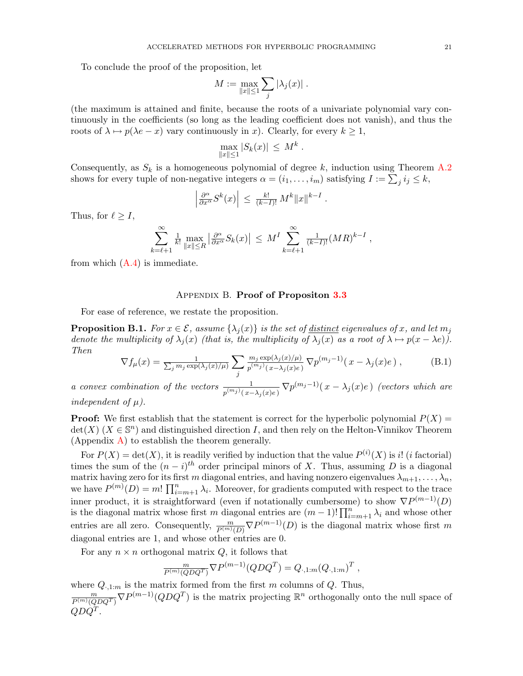To conclude the proof of the proposition, let

$$
M:=\max_{\|x\|\leq 1}\sum_j|\lambda_j(x)|\;.
$$

(the maximum is attained and finite, because the roots of a univariate polynomial vary continuously in the coefficients (so long as the leading coefficient does not vanish), and thus the roots of  $\lambda \mapsto p(\lambda e - x)$  vary continuously in x). Clearly, for every  $k \ge 1$ ,

$$
\max_{\|x\| \le 1} |S_k(x)| \le M^k
$$

.

Consequently, as  $S_k$  is a homogeneous polynomial of degree k, induction using Theorem [A.2](#page-19-1) shows for every tuple of non-negative integers  $\alpha = (i_1, \ldots, i_m)$  satisfying  $I := \sum_j i_j \leq k$ ,

$$
\left| \frac{\partial^{\alpha}}{\partial x^{\alpha}} S^{k}(x) \right| \, \leq \, \frac{k!}{(k-l)!} \, M^{k} \|x\|^{k-l} \; .
$$

Thus, for  $\ell \geq I$ ,

$$
\sum_{k=\ell+1}^{\infty} \frac{1}{k!} \max_{\|x\| \le R} \left| \frac{\partial^{\alpha}}{\partial x^{\alpha}} S_k(x) \right| \le M^I \sum_{k=\ell+1}^{\infty} \frac{1}{(k-I)!} (MR)^{k-I},
$$

from which  $(A.4)$  is immediate.

# APPENDIX B. Proof of Propositon [3.3](#page-8-1)

<span id="page-20-0"></span>For ease of reference, we restate the proposition.

**Proposition B.1.** For  $x \in \mathcal{E}$ , assume  $\{\lambda_i(x)\}\$ is the set of <u>distinct</u> eigenvalues of x, and let  $m_j$ denote the multiplicity of  $\lambda_j(x)$  (that is, the multiplicity of  $\lambda_j(x)$  as a root of  $\lambda \mapsto p(x - \lambda e)$ ). Then

<span id="page-20-1"></span>
$$
\nabla f_{\mu}(x) = \frac{1}{\sum_{j} m_j \exp(\lambda_j(x)/\mu)} \sum_{j} \frac{m_j \exp(\lambda_j(x)/\mu)}{p^{(m_j)}(x-\lambda_j(x)e)} \nabla p^{(m_j-1)}(x-\lambda_j(x)e) , \quad (B.1)
$$

a convex combination of the vectors  $\frac{1}{p^{(m_j)}(x-\lambda_j(x)e)} \nabla p^{(m_j-1)}(x-\lambda_j(x)e)$  (vectors which are independent of  $\mu$ ).

**Proof:** We first establish that the statement is correct for the hyperbolic polynomial  $P(X)$  =  $\det(X)$   $(X \in \mathbb{S}^n)$  and distinguished direction I, and then rely on the Helton-Vinnikov Theorem (Appendix  $\bf{A}$ ) to establish the theorem generally.

For  $P(X) = \det(X)$ , it is readily verified by induction that the value  $P^{(i)}(X)$  is i! (*i* factorial) times the sum of the  $(n-i)^{th}$  order principal minors of X. Thus, assuming D is a diagonal matrix having zero for its first m diagonal entries, and having nonzero eigenvalues  $\lambda_{m+1}, \ldots, \lambda_n$ , we have  $P^{(m)}(D) = m! \prod_{i=m+1}^{n} \lambda_i$ . Moreover, for gradients computed with respect to the trace inner product, it is straightforward (even if notationally cumbersome) to show  $\nabla P^{(m-1)}(D)$ is the diagonal matrix whose first m diagonal entries are  $(m-1)! \prod_{i=m+1}^{n} \lambda_i$  and whose other entries are all zero. Consequently,  $\frac{m}{P^{(m)}(D)} \nabla P^{(m-1)}(D)$  is the diagonal matrix whose first m diagonal entries are 1, and whose other entries are 0.

For any  $n \times n$  orthogonal matrix  $Q$ , it follows that

$$
\frac{m}{P^{(m)}(QDQ^{T})}\nabla P^{(m-1)}(QDQ^{T}) = Q_{\cdot,1:m}(Q_{\cdot,1:m})^{T},
$$

where  $Q_{\cdot,1:m}$  is the matrix formed from the first m columns of  $Q$ . Thus, m  $\frac{m}{P^{(m)}(QDQ^T)}\nabla P^{(m-1)}(QDQ^T)$  is the matrix projecting  $\mathbb{R}^n$  orthogonally onto the null space of  $QDQ^T.$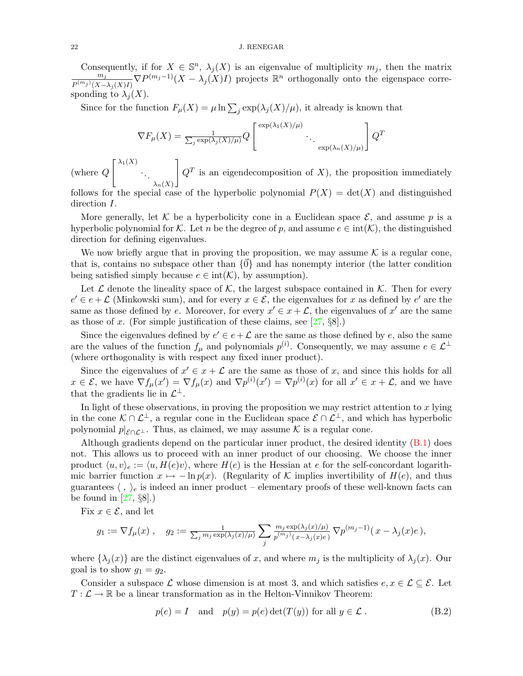Consequently, if for  $X \in \mathbb{S}^n$ ,  $\lambda_j(X)$  is an eigenvalue of multiplicity  $m_j$ , then the matrix  $m_j$  $\frac{m_j}{P^{(m_j)}(X-\lambda_j(X)I)}\nabla P^{(m_j-1)}(X-\lambda_j(X)I)$  projects  $\mathbb{R}^n$  orthogonally onto the eigenspace corresponding to  $\lambda_i(X)$ .

Since for the function  $F_{\mu}(X) = \mu \ln \sum_{j} \exp(\lambda_j(X)/\mu)$ , it already is known that

$$
\nabla F_{\mu}(X) = \frac{1}{\sum_{j} \exp(\lambda_j(X)/\mu)} Q \left[ \frac{\exp(\lambda_1(X)/\mu)}{\mu} \cdot \cdot \cdot \cdot \right] Q^T
$$

(where Q  $\bigcap \lambda_1(X)$ . . .  $\lambda_n(X)$ 1  $Q<sup>T</sup>$  is an eigendecomposition of X), the proposition immediately

follows for the special case of the hyperbolic polynomial  $P(X) = det(X)$  and distinguished direction I.

More generally, let K be a hyperbolicity cone in a Euclidean space  $\mathcal{E}$ , and assume p is a hyperbolic polynomial for K. Let n be the degree of p, and assume  $e \in \text{int}(\mathcal{K})$ , the distinguished direction for defining eigenvalues.

We now briefly argue that in proving the proposition, we may assume  $K$  is a regular cone, that is, contains no subspace other than  $\{\vec{0}\}\$  and has nonempty interior (the latter condition being satisfied simply because  $e \in \text{int}(\mathcal{K})$ , by assumption).

Let  $\mathcal L$  denote the lineality space of  $\mathcal K$ , the largest subspace contained in  $\mathcal K$ . Then for every  $e' \in e + \mathcal{L}$  (Minkowski sum), and for every  $x \in \mathcal{E}$ , the eigenvalues for x as defined by  $e'$  are the same as those defined by e. Moreover, for every  $x' \in x + \mathcal{L}$ , the eigenvalues of  $x'$  are the same as those of x. (For simple justification of these claims, see  $[27, §8]$  $[27, §8]$ .)

Since the eigenvalues defined by  $e' \in e + \mathcal{L}$  are the same as those defined by e, also the same are the values of the function  $f_{\mu}$  and polynomials  $p^{(i)}$ . Consequently, we may assume  $e \in \mathcal{L}^{\perp}$ (where orthogonality is with respect any fixed inner product).

Since the eigenvalues of  $x' \in x + \mathcal{L}$  are the same as those of x, and since this holds for all  $x \in \mathcal{E}$ , we have  $\nabla f_{\mu}(x') = \nabla f_{\mu}(x)$  and  $\nabla p^{(i)}(x') = \nabla p^{(i)}(x)$  for all  $x' \in x + \mathcal{L}$ , and we have that the gradients lie in  $\mathcal{L}^{\perp}$ .

In light of these observations, in proving the proposition we may restrict attention to  $x$  lying in the cone  $K \cap L^{\perp}$ , a regular cone in the Euclidean space  $\mathcal{E} \cap L^{\perp}$ , and which has hyperbolic polynomial  $p|_{\mathcal{E} \cap \mathcal{L}^{\perp}}$ . Thus, as claimed, we may assume K is a regular cone.

Although gradients depend on the particular inner product, the desired identity [\(B.1\)](#page-20-1) does not. This allows us to proceed with an inner product of our choosing. We choose the inner product  $\langle u, v \rangle_e := \langle u, H(e)v \rangle$ , where  $H(e)$  is the Hessian at e for the self-concordant logarithmic barrier function  $x \mapsto -\ln p(x)$ . (Regularity of K implies invertibility of  $H(e)$ , and thus guarantees  $\langle , \rangle_e$  is indeed an inner product – elementary proofs of these well-known facts can be found in  $[27, §8]$  $[27, §8]$ .)

Fix  $x \in \mathcal{E}$ , and let

$$
g_1 := \nabla f_\mu(x) , \quad g_2 := \frac{1}{\sum_j m_j \exp(\lambda_j(x)/\mu)} \sum_j \frac{m_j \exp(\lambda_j(x)/\mu)}{p^{(m_j)}(x-\lambda_j(x)e)} \nabla p^{(m_j-1)}(x-\lambda_j(x)e),
$$

where  $\{\lambda_i(x)\}\$ are the distinct eigenvalues of x, and where  $m_j$  is the multiplicity of  $\lambda_i(x)$ . Our goal is to show  $q_1 = q_2$ .

Consider a subspace  $\mathcal L$  whose dimension is at most 3, and which satisfies  $e, x \in \mathcal L \subseteq \mathcal E$ . Let  $T:\mathcal{L}\rightarrow\mathbb{R}$  be a linear transformation as in the Helton-Vinnikov Theorem:

<span id="page-21-0"></span>
$$
p(e) = I \quad \text{and} \quad p(y) = p(e) \det(T(y)) \text{ for all } y \in \mathcal{L} \,. \tag{B.2}
$$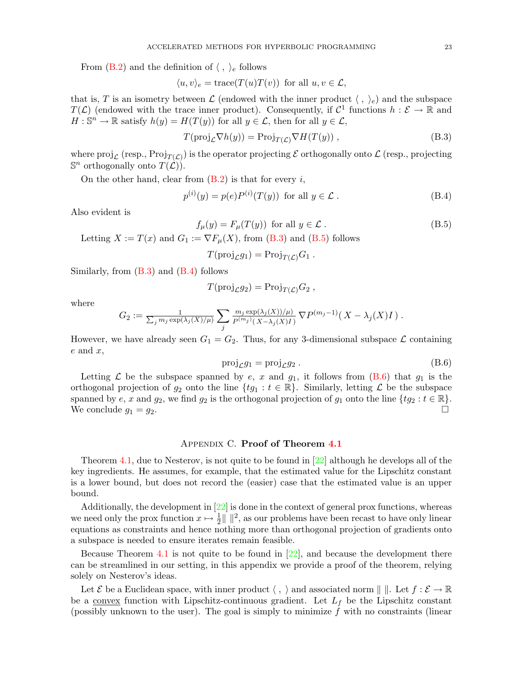From [\(B.2\)](#page-21-0) and the definition of  $\langle , \rangle_e$  follows

$$
\langle u, v \rangle_e = \text{trace}(T(u)T(v)) \text{ for all } u, v \in \mathcal{L},
$$

that is, T is an isometry between  $\mathcal L$  (endowed with the inner product  $\langle , \rangle_e$ ) and the subspace  $T(\mathcal{L})$  (endowed with the trace inner product). Consequently, if  $\mathcal{C}^1$  functions  $h: \mathcal{E} \to \mathbb{R}$  and  $H: \mathbb{S}^n \to \mathbb{R}$  satisfy  $h(y) = H(T(y))$  for all  $y \in \mathcal{L}$ , then for all  $y \in \mathcal{L}$ ,

<span id="page-22-1"></span>
$$
T(\text{proj}_{\mathcal{L}} \nabla h(y)) = \text{Proj}_{T(\mathcal{L})} \nabla H(T(y)), \qquad (B.3)
$$

where  $proj_{\mathcal{L}}$  (resp.,  $Proj_{T(\mathcal{L})})$  is the operator projecting  $\mathcal E$  orthogonally onto  $\mathcal L$  (resp., projecting  $\mathbb{S}^n$  orthogonally onto  $T(\mathcal{L})$ .

On the other hand, clear from  $(B.2)$  is that for every i,

<span id="page-22-3"></span>
$$
p^{(i)}(y) = p(e)P^{(i)}(T(y))
$$
 for all  $y \in \mathcal{L}$ . (B.4)

Also evident is

<span id="page-22-2"></span>
$$
f_{\mu}(y) = F_{\mu}(T(y)) \text{ for all } y \in \mathcal{L}.
$$
 (B.5)

Letting  $X := T(x)$  and  $G_1 := \nabla F_\mu(X)$ , from [\(B.3\)](#page-22-1) and [\(B.5\)](#page-22-2) follows

$$
T(\text{proj}_{\mathcal{L}}g_1) = \text{Proj}_{T(\mathcal{L})}G_1.
$$

Similarly, from  $(B.3)$  and  $(B.4)$  follows

$$
T(\text{proj}_{\mathcal{L}}g_2) = \text{Proj}_{T(\mathcal{L})}G_2 ,
$$

where

$$
G_2 := \frac{1}{\sum_j m_j \exp(\lambda_j(X)/\mu)} \sum_j \frac{m_j \exp(\lambda_j(X))/\mu)}{P^{(m_j)}(X-\lambda_j(X)I)} \nabla P^{(m_j-1)}(X-\lambda_j(X)I).
$$

However, we have already seen  $G_1 = G_2$ . Thus, for any 3-dimensional subspace  $\mathcal L$  containing  $e$  and  $x$ ,

<span id="page-22-4"></span>
$$
\text{proj}_{\mathcal{L}} g_1 = \text{proj}_{\mathcal{L}} g_2 . \tag{B.6}
$$

Letting  $\mathcal L$  be the subspace spanned by e, x and  $g_1$ , it follows from [\(B.6\)](#page-22-4) that  $g_1$  is the orthogonal projection of  $g_2$  onto the line  $\{tg_1 : t \in \mathbb{R}\}$ . Similarly, letting  $\mathcal L$  be the subspace spanned by e, x and  $g_2$ , we find  $g_2$  is the orthogonal projection of  $g_1$  onto the line  $\{tg_2 : t \in \mathbb{R}\}.$ We conclude  $g_1 = g_2$ .

### Appendix C. Proof of Theorem [4.1](#page-12-0)

<span id="page-22-0"></span>Theorem [4.1,](#page-12-0) due to Nesterov, is not quite to be found in [\[22\]](#page-27-2) although he develops all of the key ingredients. He assumes, for example, that the estimated value for the Lipschitz constant is a lower bound, but does not record the (easier) case that the estimated value is an upper bound.

Additionally, the development in [\[22\]](#page-27-2) is done in the context of general prox functions, whereas we need only the prox function  $x \mapsto \frac{1}{2} \|\cdot\|^2$ , as our problems have been recast to have only linear equations as constraints and hence nothing more than orthogonal projection of gradients onto a subspace is needed to ensure iterates remain feasible.

Because Theorem [4.1](#page-12-0) is not quite to be found in  $[22]$ , and because the development there can be streamlined in our setting, in this appendix we provide a proof of the theorem, relying solely on Nesterov's ideas.

Let  $\mathcal E$  be a Euclidean space, with inner product  $\langle , \rangle$  and associated norm  $\| \cdot \|$ . Let  $f : \mathcal E \to \mathbb R$ be a <u>convex</u> function with Lipschitz-continuous gradient. Let  $L_f$  be the Lipschitz constant (possibly unknown to the user). The goal is simply to minimize  $f$  with no constraints (linear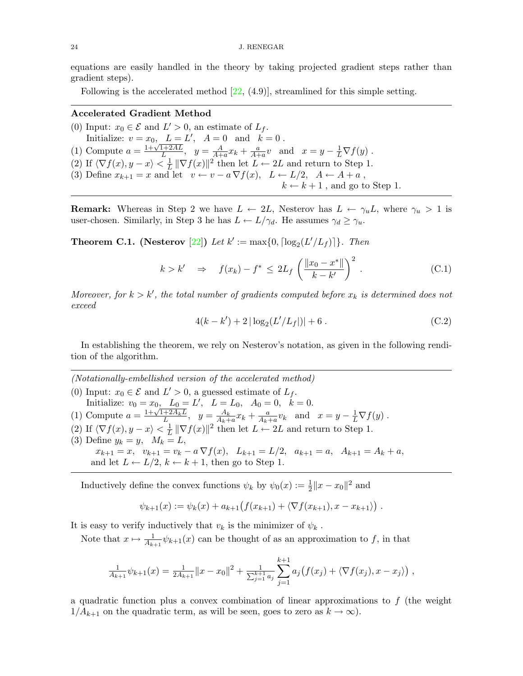equations are easily handled in the theory by taking projected gradient steps rather than gradient steps).

Following is the accelerated method  $[22, (4.9)]$  $[22, (4.9)]$ , streamlined for this simple setting.

# Accelerated Gradient Method

- (0) Input:  $x_0 \in \mathcal{E}$  and  $L' > 0$ , an estimate of  $L_f$ .
- Initialize:  $v = x_0$ ,  $L = L'$ ,  $A = 0$  and  $\dot{k} = 0$ . (1) Compute  $a = \frac{1+\sqrt{1+2AL}}{L}$  $\frac{1+2AL}{L}, y = \frac{A}{A+}$  $\frac{A}{A+a}x_k + \frac{a}{A+}$  $\frac{a}{A+a}v$  and  $x=y-\frac{1}{L}\nabla f(y)$ .
- (2) If  $\langle \nabla f(x), y x \rangle < \frac{1}{L}$  $\frac{1}{L} \|\nabla f(x)\|^2$  then let  $L \leftarrow 2L$  and return to Step 1.
- (3) Define  $x_{k+1} = x$  and let  $v \leftarrow v a \nabla f(x)$ ,  $L \leftarrow L/2$ ,  $A \leftarrow A + a$ ,
	- $k \leftarrow k + 1$ , and go to Step 1.

**Remark:** Whereas in Step 2 we have  $L \leftarrow 2L$ , Nesterov has  $L \leftarrow \gamma_u L$ , where  $\gamma_u > 1$  is user-chosen. Similarly, in Step 3 he has  $L \leftarrow L/\gamma_d$ . He assumes  $\gamma_d \geq \gamma_u$ .

<span id="page-23-1"></span>**Theorem C.1.** (Nesterov [\[22\]](#page-27-2)) Let  $k' := max\{0, \lceil log_2(L'/L_f) \rceil\}$ . Then

<span id="page-23-0"></span>
$$
k > k' \quad \Rightarrow \quad f(x_k) - f^* \le 2L_f \left( \frac{\|x_0 - x^*\|}{k - k'} \right)^2 \,. \tag{C.1}
$$

Moreover, for  $k > k'$ , the total number of gradients computed before  $x_k$  is determined does not exceed

<span id="page-23-2"></span>
$$
4(k - k') + 2|\log_2(L'/L_f|)| + 6.
$$
 (C.2)

In establishing the theorem, we rely on Nesterov's notation, as given in the following rendition of the algorithm.

(Notationally-embellished version of the accelerated method)

- (0) Input:  $x_0 \in \mathcal{E}$  and  $L' > 0$ , a guessed estimate of  $L_f$ . Initialize:  $v_0 = x_0$ ,  $L_0 = L'$ ,  $L = L_0$ ,  $A_0 = 0$ ,  $\dot{k} = 0$ .
- (1) Compute  $a = \frac{1 + \sqrt{1 + 2A_kL}}{L}$ ,  $y = \frac{A_k}{A_k + 1}$  $\frac{A_k}{A_k+a}x_k+\frac{a}{A_k-a}$  $\frac{a}{A_k+a}v_k$  and  $x=y-\frac{1}{L}\nabla f(y)$ .
- (2) If  $\langle \nabla f(x), y x \rangle < \frac{1}{L}$  $\frac{1}{L} \|\nabla f(x)\|^2$  then let  $L \leftarrow 2L$  and return to Step 1.
- (3) Define  $y_k = y$ ,  $M_k = L$ ,  $x_{k+1} = x$ ,  $v_{k+1} = v_k - a \nabla f(x)$ ,  $L_{k+1} = L/2$ ,  $a_{k+1} = a$ ,  $A_{k+1} = A_k + a$ , and let  $L \leftarrow L/2, k \leftarrow k+1$ , then go to Step 1.

Inductively define the convex functions  $\psi_k$  by  $\psi_0(x) := \frac{1}{2} ||x - x_0||^2$  and

$$
\psi_{k+1}(x) := \psi_k(x) + a_{k+1} \big( f(x_{k+1}) + \langle \nabla f(x_{k+1}), x - x_{k+1} \rangle \big) .
$$

It is easy to verify inductively that  $v_k$  is the minimizer of  $\psi_k$ .

Note that  $x \mapsto \frac{1}{A_{k+1}} \psi_{k+1}(x)$  can be thought of as an approximation to f, in that

$$
\frac{1}{A_{k+1}}\psi_{k+1}(x) = \frac{1}{2A_{k+1}}||x - x_0||^2 + \frac{1}{\sum_{j=1}^{k+1} a_j} \sum_{j=1}^{k+1} a_j (f(x_j) + \langle \nabla f(x_j), x - x_j \rangle),
$$

a quadratic function plus a convex combination of linear approximations to  $f$  (the weight  $1/A_{k+1}$  on the quadratic term, as will be seen, goes to zero as  $k \to \infty$ ).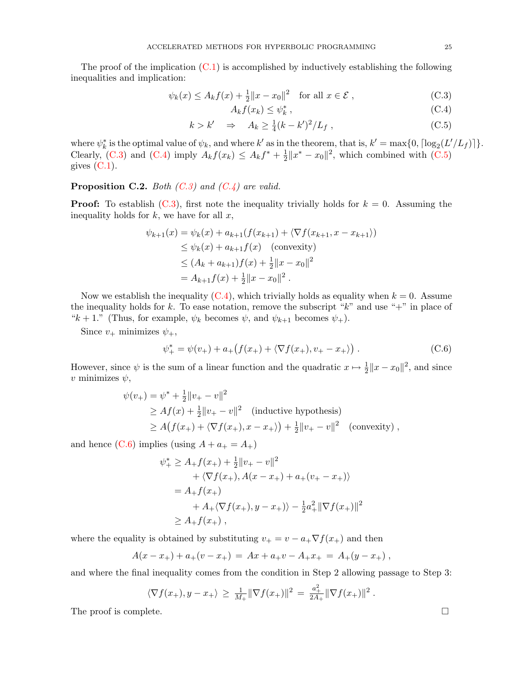The proof of the implication  $(C.1)$  is accomplished by inductively establishing the following inequalities and implication:

$$
\psi_k(x) \le A_k f(x) + \frac{1}{2} ||x - x_0||^2
$$
 for all  $x \in \mathcal{E}$ , (C.3)

<span id="page-24-2"></span><span id="page-24-1"></span><span id="page-24-0"></span>
$$
A_k f(x_k) \le \psi_k^*,\tag{C.4}
$$

$$
k > k' \quad \Rightarrow \quad A_k \ge \frac{1}{4}(k - k')^2 / L_f \tag{C.5}
$$

where  $\psi_k^*$  is the optimal value of  $\psi_k$ , and where k' as in the theorem, that is,  $k' = \max\{0, \lceil \log_2(L'/L_f) \rceil\}.$ Clearly, [\(C.3\)](#page-24-0) and [\(C.4\)](#page-24-1) imply  $A_k f(x_k) \leq A_k f^* + \frac{1}{2}$  $\frac{1}{2}||x^* - x_0||^2$ , which combined with [\(C.5\)](#page-24-2) gives  $(C.1)$ .

**Proposition C.2.** Both  $(C.3)$  and  $(C.4)$  are valid.

**Proof:** To establish  $(C.3)$ , first note the inequality trivially holds for  $k = 0$ . Assuming the inequality holds for  $k$ , we have for all  $x$ ,

$$
\psi_{k+1}(x) = \psi_k(x) + a_{k+1}(f(x_{k+1}) + \langle \nabla f(x_{k+1}, x - x_{k+1}) \rangle)
$$
  
\n
$$
\leq \psi_k(x) + a_{k+1}f(x) \quad \text{(convexity)}
$$
  
\n
$$
\leq (A_k + a_{k+1})f(x) + \frac{1}{2}||x - x_0||^2
$$
  
\n
$$
= A_{k+1}f(x) + \frac{1}{2}||x - x_0||^2.
$$

Now we establish the inequality  $(C.4)$ , which trivially holds as equality when  $k = 0$ . Assume the inequality holds for  $k$ . To ease notation, remove the subscript " $k$ " and use " $+$ " in place of " $k+1$ ." (Thus, for example,  $\psi_k$  becomes  $\psi$ , and  $\psi_{k+1}$  becomes  $\psi_+$ ).

Since  $v_+$  minimizes  $\psi_+$ ,

<span id="page-24-3"></span>
$$
\psi_{+}^{*} = \psi(v_{+}) + a_{+}(f(x_{+}) + \langle \nabla f(x_{+}), v_{+} - x_{+} \rangle) . \tag{C.6}
$$

However, since  $\psi$  is the sum of a linear function and the quadratic  $x \mapsto \frac{1}{2} ||x - x_0||^2$ , and since  $v$  minimizes  $\psi$ ,

$$
\psi(v_+) = \psi^* + \frac{1}{2} \|v_+ - v\|^2
$$
  
\n
$$
\geq Af(x) + \frac{1}{2} \|v_+ - v\|^2 \quad \text{(inductive hypothesis)}
$$
  
\n
$$
\geq A(f(x_+) + \langle \nabla f(x_+), x - x_+ \rangle) + \frac{1}{2} \|v_+ - v\|^2 \quad \text{(convexity)},
$$

and hence  $(C.6)$  implies (using  $A + a_+ = A_+$ )

$$
\psi_{+}^{*} \ge A_{+} f(x_{+}) + \frac{1}{2} \|v_{+} - v\|^{2}
$$
  
+  $\langle \nabla f(x_{+}), A(x - x_{+}) + a_{+}(v_{+} - x_{+}) \rangle$   
=  $A_{+} f(x_{+})$   
+  $A_{+} \langle \nabla f(x_{+}), y - x_{+} \rangle \rangle - \frac{1}{2} a_{+}^{2} \| \nabla f(x_{+}) \|^{2}$   
 $\ge A_{+} f(x_{+}),$ 

where the equality is obtained by substituting  $v_+ = v - a_+\nabla f(x_+)$  and then

$$
A(x-x_{+}) + a_{+}(v-x_{+}) = Ax + a_{+}v - A_{+}x_{+} = A_{+}(y-x_{+}),
$$

and where the final inequality comes from the condition in Step 2 allowing passage to Step 3:

$$
\langle \nabla f(x_+), y - x_+ \rangle \geq \frac{1}{M_+} \|\nabla f(x_+)\|^2 = \frac{a_+^2}{2A_+} \|\nabla f(x_+)\|^2.
$$

The proof is complete.  $\Box$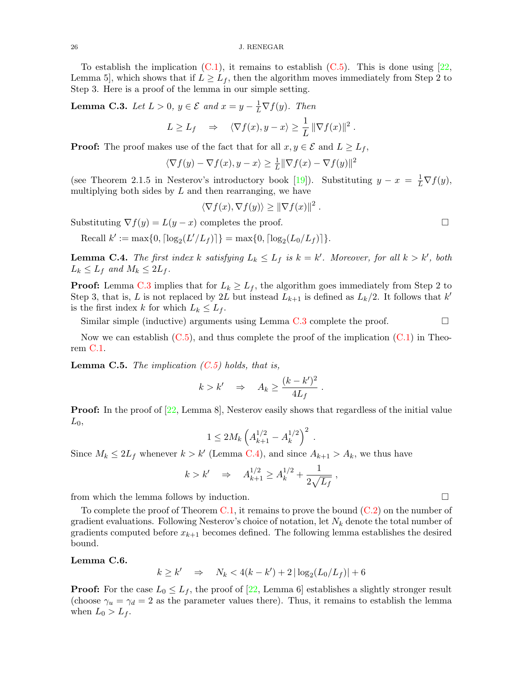To establish the implication  $(C.1)$ , it remains to establish  $(C.5)$ . This is done using  $[22]$ , Lemma 5, which shows that if  $L \geq L_f$ , then the algorithm moves immediately from Step 2 to Step 3. Here is a proof of the lemma in our simple setting.

<span id="page-25-0"></span>**Lemma C.3.** Let  $L > 0$ ,  $y \in \mathcal{E}$  and  $x = y - \frac{1}{L} \nabla f(y)$ . Then

$$
L \ge L_f \quad \Rightarrow \quad \langle \nabla f(x), y - x \rangle \ge \frac{1}{L} \|\nabla f(x)\|^2.
$$

**Proof:** The proof makes use of the fact that for all  $x, y \in \mathcal{E}$  and  $L \geq L_f$ ,

$$
\langle \nabla f(y) - \nabla f(x), y - x \rangle \ge \frac{1}{L} \|\nabla f(x) - \nabla f(y)\|^2
$$

(see Theorem 2.1.5 in Nesterov's introductory book [\[19\]](#page-26-16)). Substituting  $y - x = \frac{1}{L}\nabla f(y)$ , multiplying both sides by  $L$  and then rearranging, we have

$$
\langle \nabla f(x), \nabla f(y) \rangle \geq ||\nabla f(x)||^2.
$$

Substituting  $\nabla f(y) = L(y - x)$  completes the proof.

Recall  $k' := \max\{0, \lceil \log_2(L'/L_f) \rceil\} = \max\{0, \lceil \log_2(L_0/L_f) \rceil\}.$ 

<span id="page-25-1"></span>**Lemma C.4.** The first index k satisfying  $L_k \leq L_f$  is  $k = k'$ . Moreover, for all  $k > k'$ , both  $L_k \leq L_f$  and  $M_k \leq 2L_f$ .

**Proof:** Lemma [C.3](#page-25-0) implies that for  $L_k \geq L_f$ , the algorithm goes immediately from Step 2 to Step 3, that is, L is not replaced by 2L but instead  $L_{k+1}$  is defined as  $L_k/2$ . It follows that  $k'$ is the first index k for which  $L_k \leq L_f$ .

Similar simple (inductive) arguments using Lemma [C.3](#page-25-0) complete the proof.  $\Box$ 

Now we can establish  $(C.5)$ , and thus complete the proof of the implication  $(C.1)$  in Theorem [C.1.](#page-23-1)

**Lemma C.5.** The implication  $(C.5)$  holds, that is,

$$
k > k' \quad \Rightarrow \quad A_k \geq \frac{(k - k')^2}{4L_f} \; .
$$

**Proof:** In the proof of [\[22,](#page-27-2) Lemma 8], Nesterov easily shows that regardless of the initial value  $L_0$ ,

$$
1 \le 2M_k \left( A_{k+1}^{1/2} - A_k^{1/2} \right)^2
$$

.

Since  $M_k \leq 2L_f$  whenever  $k > k'$  (Lemma [C.4\)](#page-25-1), and since  $A_{k+1} > A_k$ , we thus have

$$
k > k' \quad \Rightarrow \quad A_{k+1}^{1/2} \ge A_k^{1/2} + \frac{1}{2\sqrt{L_f}} \; ,
$$

from which the lemma follows by induction.

To complete the proof of Theorem [C.1,](#page-23-1) it remains to prove the bound  $(C.2)$  on the number of gradient evaluations. Following Nesterov's choice of notation, let  $N_k$  denote the total number of gradients computed before  $x_{k+1}$  becomes defined. The following lemma establishes the desired bound.

### Lemma C.6.

 $k \ge k' \Rightarrow N_k < 4(k - k') + 2 |\log_2(L_0/L_f)| + 6$ 

**Proof:** For the case  $L_0 \leq L_f$ , the proof of [\[22,](#page-27-2) Lemma 6] establishes a slightly stronger result (choose  $\gamma_u = \gamma_d = 2$  as the parameter values there). Thus, it remains to establish the lemma when  $L_0 > L_f$ .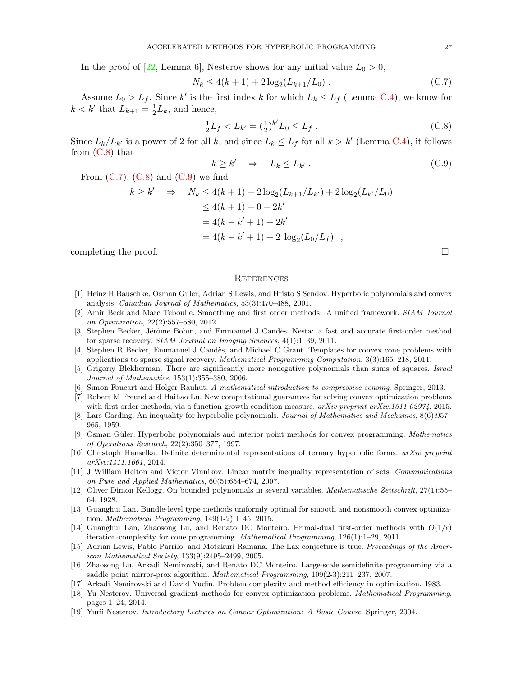In the proof of [\[22,](#page-27-2) Lemma 6], Nesterov shows for any initial value  $L_0 > 0$ ,

<span id="page-26-20"></span>
$$
N_k \le 4(k+1) + 2\log_2(L_{k+1}/L_0) \tag{C.7}
$$

Assume  $L_0 > L_f$ . Since k' is the first index k for which  $L_k \leq L_f$  (Lemma [C.4\)](#page-25-1), we know for  $k < k'$  that  $L_{k+1} = \frac{1}{2}$  $\frac{1}{2}L_k$ , and hence,

<span id="page-26-19"></span>
$$
\frac{1}{2}L_f < L_{k'} = \left(\frac{1}{2}\right)^{k'} L_0 \le L_f \tag{C.8}
$$

Since  $L_k/L_{k'}$  is a power of 2 for all k, and since  $L_k \le L_f$  for all  $k > k'$  (Lemma [C.4\)](#page-25-1), it follows from [\(C.8\)](#page-26-19) that

<span id="page-26-21"></span>
$$
k \ge k' \quad \Rightarrow \quad L_k \le L_{k'} \,. \tag{C.9}
$$

From  $(C.7)$ ,  $(C.8)$  and  $(C.9)$  we find

$$
k \ge k' \Rightarrow N_k \le 4(k+1) + 2\log_2(L_{k+1}/L_{k'}) + 2\log_2(L_{k'}/L_0)
$$
  
\n
$$
\le 4(k+1) + 0 - 2k'
$$
  
\n
$$
= 4(k - k' + 1) + 2k'
$$
  
\n
$$
= 4(k - k' + 1) + 2\lceil \log_2(L_0/L_f) \rceil,
$$

completing the proof.  $\Box$ 

#### **REFERENCES**

- <span id="page-26-10"></span>[1] Heinz H Bauschke, Osman Guler, Adrian S Lewis, and Hristo S Sendov. Hyperbolic polynomials and convex analysis. Canadian Journal of Mathematics, 53(3):470–488, 2001.
- <span id="page-26-1"></span>[2] Amir Beck and Marc Teboulle. Smoothing and first order methods: A unified framework. SIAM Journal on Optimization, 22(2):557–580, 2012.
- <span id="page-26-2"></span>[3] Stephen Becker, Jérôme Bobin, and Emmanuel J Candès. Nesta: a fast and accurate first-order method for sparse recovery. SIAM Journal on Imaging Sciences, 4(1):1–39, 2011.
- <span id="page-26-3"></span>[4] Stephen R Becker, Emmanuel J Candès, and Michael C Grant. Templates for convex cone problems with applications to sparse signal recovery. Mathematical Programming Computation, 3(3):165–218, 2011.
- <span id="page-26-17"></span>[5] Grigoriy Blekherman. There are significantly more nonegative polynomials than sums of squares. Israel Journal of Mathematics, 153(1):355–380, 2006.
- <span id="page-26-4"></span>[6] Simon Foucart and Holger Rauhut. A mathematical introduction to compressive sensing. Springer, 2013.
- <span id="page-26-7"></span>[7] Robert M Freund and Haihao Lu. New computational guarantees for solving convex optimization problems with first order methods, via a function growth condition measure.  $arXiv$  preprint  $arXiv:1511.02974$ , 2015.
- <span id="page-26-8"></span>[8] Lars Garding. An inequality for hyperbolic polynomials. Journal of Mathematics and Mechanics, 8(6):957– 965, 1959.
- <span id="page-26-9"></span>[9] Osman Güler. Hyperbolic polynomials and interior point methods for convex programming. Mathematics of Operations Research, 22(2):350–377, 1997.
- <span id="page-26-15"></span>[10] Christoph Hanselka. Definite determinantal representations of ternary hyperbolic forms. arXiv preprint arXiv:1411.1661, 2014.
- <span id="page-26-13"></span>[11] J William Helton and Victor Vinnikov. Linear matrix inequality representation of sets. Communications on Pure and Applied Mathematics, 60(5):654–674, 2007.
- <span id="page-26-18"></span>[12] Oliver Dimon Kellogg. On bounded polynomials in several variables. Mathematische Zeitschrift, 27(1):55– 64, 1928.
- <span id="page-26-11"></span>[13] Guanghui Lan. Bundle-level type methods uniformly optimal for smooth and nonsmooth convex optimization. Mathematical Programming, 149(1-2):1–45, 2015.
- <span id="page-26-6"></span>[14] Guanghui Lan, Zhaosong Lu, and Renato DC Monteiro. Primal-dual first-order methods with  $O(1/\epsilon)$ iteration-complexity for cone programming. Mathematical Programming, 126(1):1–29, 2011.
- <span id="page-26-14"></span>[15] Adrian Lewis, Pablo Parrilo, and Motakuri Ramana. The Lax conjecture is true. Proceedings of the American Mathematical Society, 133(9):2495–2499, 2005.
- <span id="page-26-5"></span>[16] Zhaosong Lu, Arkadi Nemirovski, and Renato DC Monteiro. Large-scale semidefinite programming via a saddle point mirror-prox algorithm. Mathematical Programming, 109(2-3):211–237, 2007.
- <span id="page-26-0"></span>[17] Arkadi Nemirovski and David Yudin. Problem complexity and method efficiency in optimization. 1983.
- <span id="page-26-12"></span>[18] Yu Nesterov. Universal gradient methods for convex optimization problems. Mathematical Programming, pages 1–24, 2014.
- <span id="page-26-16"></span>[19] Yurii Nesterov. Introductory Lectures on Convex Optimization: A Basic Course. Springer, 2004.